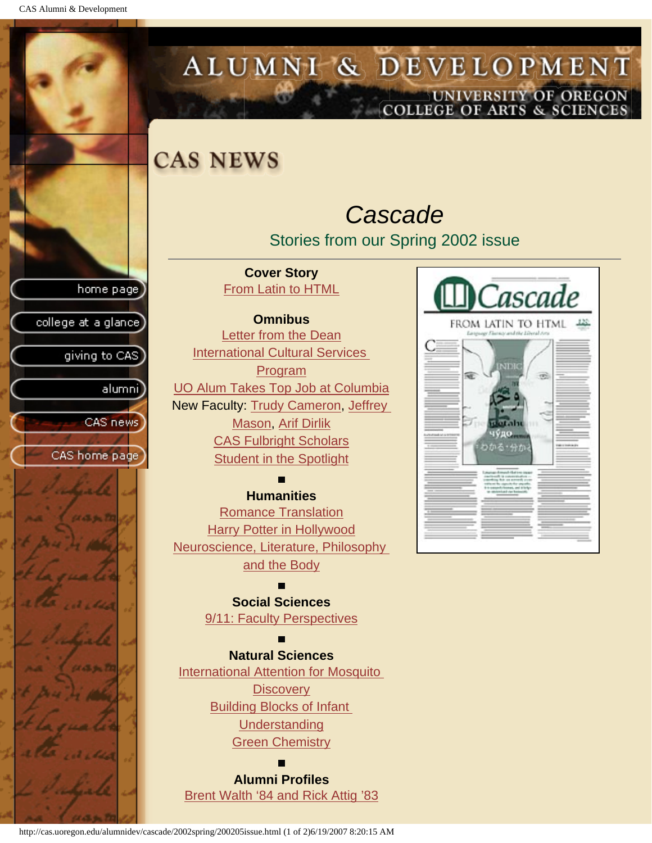CAS Alumni & Development



Cascade

чудо わかる・分か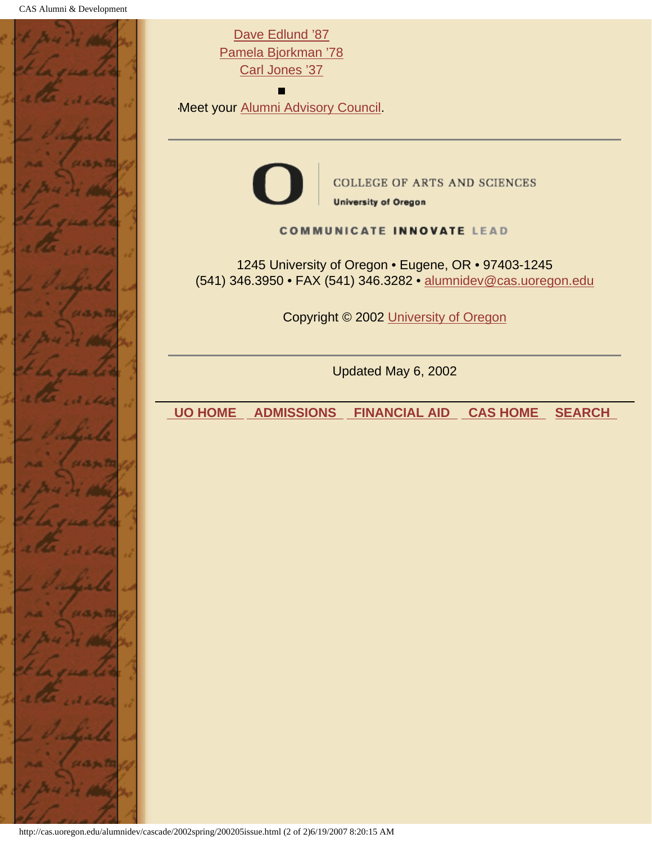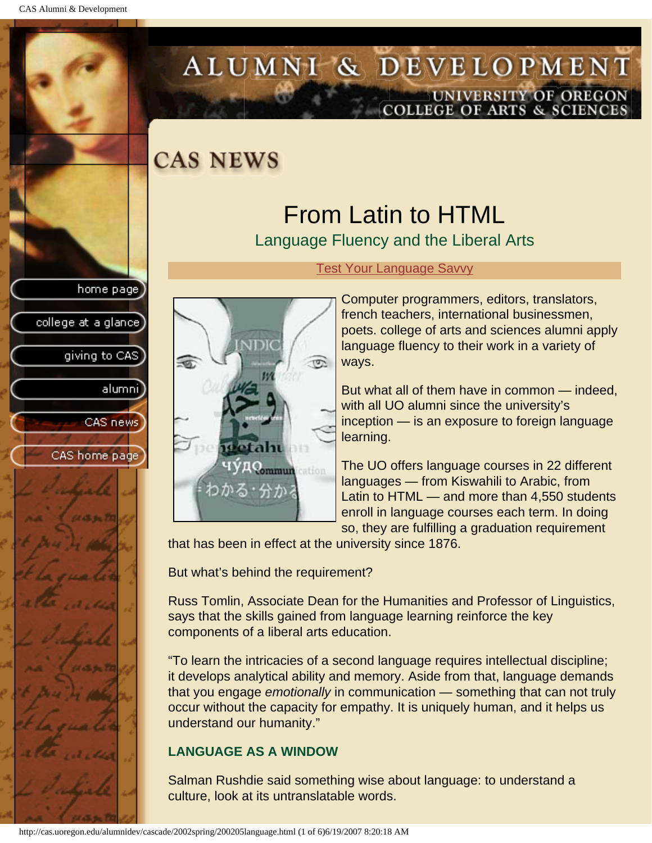college at a glance]

giving to CAS

alumnil

CAS news

CAS home page

# <span id="page-2-0"></span>ALUMNI & DEVELOPMENT UNIVERSITY OF OREGON<br>COLLEGE OF ARTS & SCIENCES

### **CAS NEWS**

## From Latin to HTML

Language Fluency and the Liberal Arts



#### [Test Your Language Savvy](#page-7-0)

Computer programmers, editors, translators, french teachers, international businessmen, poets. college of arts and sciences alumni apply language fluency to their work in a variety of ways.

But what all of them have in common — indeed, with all UO alumni since the university's inception — is an exposure to foreign language learning.

The UO offers language courses in 22 different languages — from Kiswahili to Arabic, from Latin to HTML — and more than 4,550 students enroll in language courses each term. In doing so, they are fulfilling a graduation requirement

that has been in effect at the university since 1876.

But what's behind the requirement?

Russ Tomlin, Associate Dean for the Humanities and Professor of Linguistics, says that the skills gained from language learning reinforce the key components of a liberal arts education.

"To learn the intricacies of a second language requires intellectual discipline; it develops analytical ability and memory. Aside from that, language demands that you engage *emotionally* in communication — something that can not truly occur without the capacity for empathy. It is uniquely human, and it helps us understand our humanity."

#### **LANGUAGE AS A WINDOW**

Salman Rushdie said something wise about language: to understand a culture, look at its untranslatable words.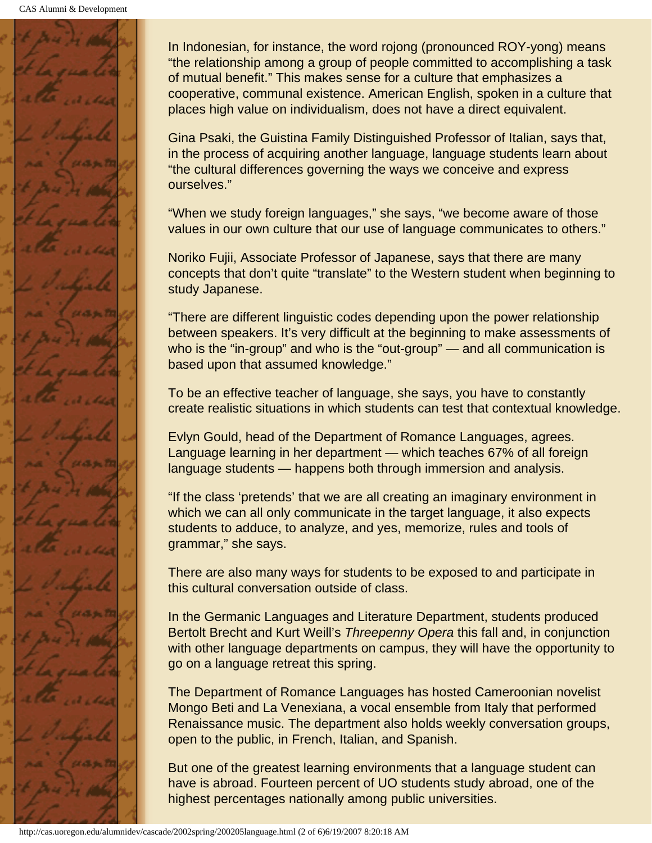

In Indonesian, for instance, the word rojong (pronounced ROY-yong) means "the relationship among a group of people committed to accomplishing a task of mutual benefit." This makes sense for a culture that emphasizes a cooperative, communal existence. American English, spoken in a culture that places high value on individualism, does not have a direct equivalent.

Gina Psaki, the Guistina Family Distinguished Professor of Italian, says that, in the process of acquiring another language, language students learn about "the cultural differences governing the ways we conceive and express ourselves."

"When we study foreign languages," she says, "we become aware of those values in our own culture that our use of language communicates to others."

Noriko Fujii, Associate Professor of Japanese, says that there are many concepts that don't quite "translate" to the Western student when beginning to study Japanese.

"There are different linguistic codes depending upon the power relationship between speakers. It's very difficult at the beginning to make assessments of who is the "in-group" and who is the "out-group" — and all communication is based upon that assumed knowledge."

To be an effective teacher of language, she says, you have to constantly create realistic situations in which students can test that contextual knowledge.

Evlyn Gould, head of the Department of Romance Languages, agrees. Language learning in her department — which teaches 67% of all foreign language students — happens both through immersion and analysis.

"If the class 'pretends' that we are all creating an imaginary environment in which we can all only communicate in the target language, it also expects students to adduce, to analyze, and yes, memorize, rules and tools of grammar," she says.

There are also many ways for students to be exposed to and participate in this cultural conversation outside of class.

In the Germanic Languages and Literature Department, students produced Bertolt Brecht and Kurt Weill's *Threepenny Opera* this fall and, in conjunction with other language departments on campus, they will have the opportunity to go on a language retreat this spring.

The Department of Romance Languages has hosted Cameroonian novelist Mongo Beti and La Venexiana, a vocal ensemble from Italy that performed Renaissance music. The department also holds weekly conversation groups, open to the public, in French, Italian, and Spanish.

But one of the greatest learning environments that a language student can have is abroad. Fourteen percent of UO students study abroad, one of the highest percentages nationally among public universities.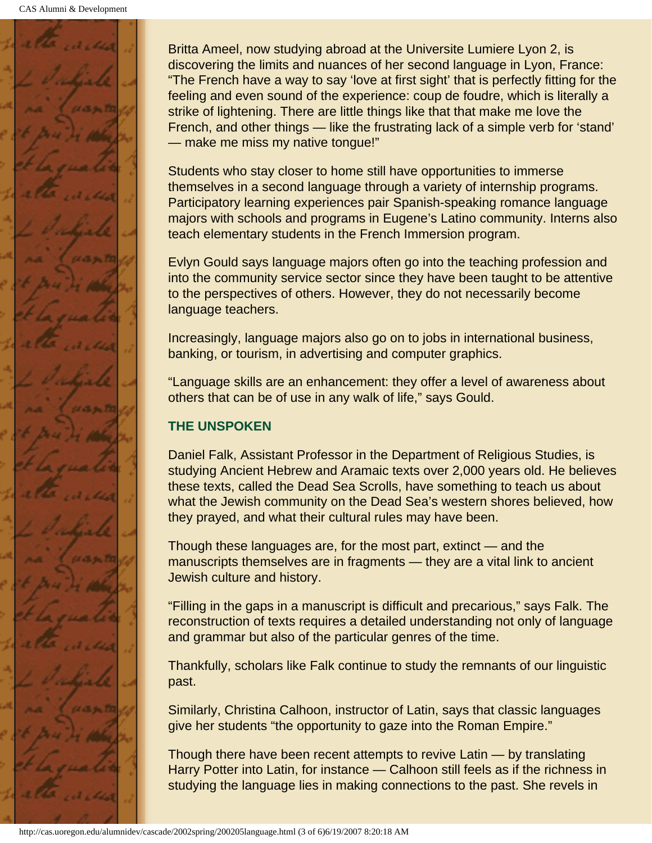

Britta Ameel, now studying abroad at the Universite Lumiere Lyon 2, is discovering the limits and nuances of her second language in Lyon, France: "The French have a way to say 'love at first sight' that is perfectly fitting for the feeling and even sound of the experience: coup de foudre, which is literally a strike of lightening. There are little things like that that make me love the French, and other things — like the frustrating lack of a simple verb for 'stand' — make me miss my native tongue!"

Students who stay closer to home still have opportunities to immerse themselves in a second language through a variety of internship programs. Participatory learning experiences pair Spanish-speaking romance language majors with schools and programs in Eugene's Latino community. Interns also teach elementary students in the French Immersion program.

Evlyn Gould says language majors often go into the teaching profession and into the community service sector since they have been taught to be attentive to the perspectives of others. However, they do not necessarily become language teachers.

Increasingly, language majors also go on to jobs in international business, banking, or tourism, in advertising and computer graphics.

"Language skills are an enhancement: they offer a level of awareness about others that can be of use in any walk of life," says Gould.

#### **THE UNSPOKEN**

Daniel Falk, Assistant Professor in the Department of Religious Studies, is studying Ancient Hebrew and Aramaic texts over 2,000 years old. He believes these texts, called the Dead Sea Scrolls, have something to teach us about what the Jewish community on the Dead Sea's western shores believed, how they prayed, and what their cultural rules may have been.

Though these languages are, for the most part, extinct — and the manuscripts themselves are in fragments — they are a vital link to ancient Jewish culture and history.

"Filling in the gaps in a manuscript is difficult and precarious," says Falk. The reconstruction of texts requires a detailed understanding not only of language and grammar but also of the particular genres of the time.

Thankfully, scholars like Falk continue to study the remnants of our linguistic past.

Similarly, Christina Calhoon, instructor of Latin, says that classic languages give her students "the opportunity to gaze into the Roman Empire."

Though there have been recent attempts to revive Latin — by translating Harry Potter into Latin, for instance — Calhoon still feels as if the richness in studying the language lies in making connections to the past. She revels in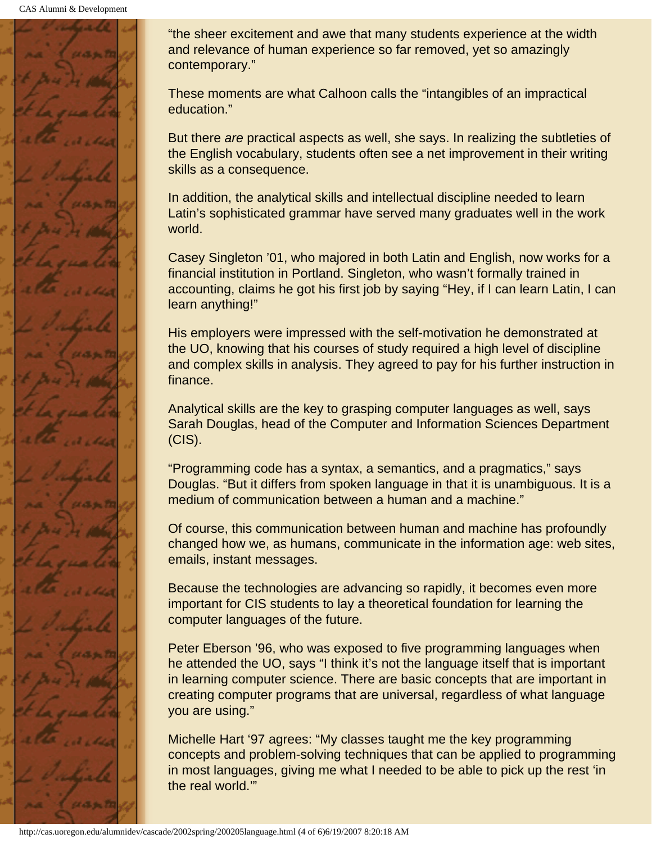

"the sheer excitement and awe that many students experience at the width and relevance of human experience so far removed, yet so amazingly contemporary."

These moments are what Calhoon calls the "intangibles of an impractical education."

But there *are* practical aspects as well, she says. In realizing the subtleties of the English vocabulary, students often see a net improvement in their writing skills as a consequence.

In addition, the analytical skills and intellectual discipline needed to learn Latin's sophisticated grammar have served many graduates well in the work world.

Casey Singleton '01, who majored in both Latin and English, now works for a financial institution in Portland. Singleton, who wasn't formally trained in accounting, claims he got his first job by saying "Hey, if I can learn Latin, I can learn anything!"

His employers were impressed with the self-motivation he demonstrated at the UO, knowing that his courses of study required a high level of discipline and complex skills in analysis. They agreed to pay for his further instruction in finance.

Analytical skills are the key to grasping computer languages as well, says Sarah Douglas, head of the Computer and Information Sciences Department (CIS).

"Programming code has a syntax, a semantics, and a pragmatics," says Douglas. "But it differs from spoken language in that it is unambiguous. It is a medium of communication between a human and a machine."

Of course, this communication between human and machine has profoundly changed how we, as humans, communicate in the information age: web sites, emails, instant messages.

Because the technologies are advancing so rapidly, it becomes even more important for CIS students to lay a theoretical foundation for learning the computer languages of the future.

Peter Eberson '96, who was exposed to five programming languages when he attended the UO, says "I think it's not the language itself that is important in learning computer science. There are basic concepts that are important in creating computer programs that are universal, regardless of what language you are using."

Michelle Hart '97 agrees: "My classes taught me the key programming concepts and problem-solving techniques that can be applied to programming in most languages, giving me what I needed to be able to pick up the rest 'in the real world.'"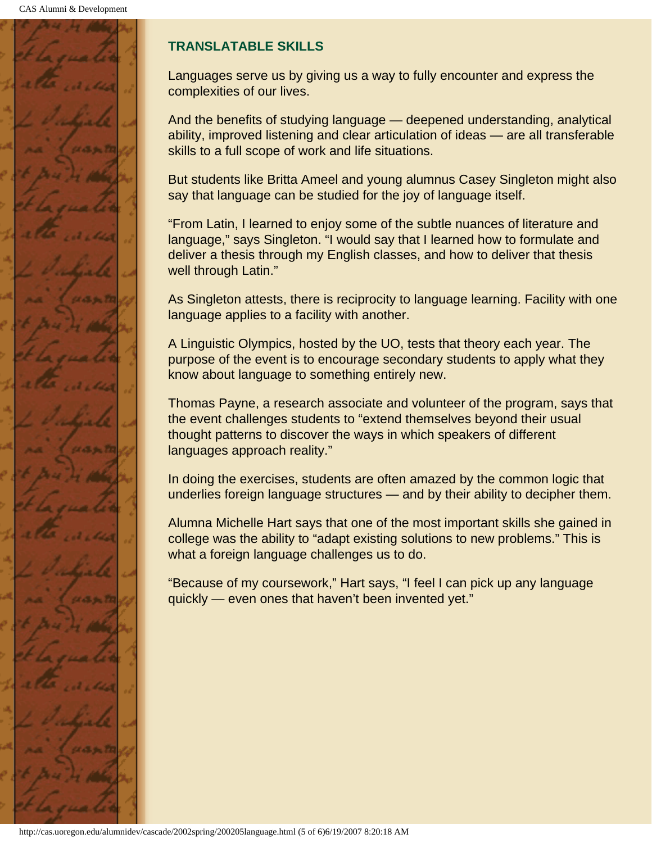

#### **TRANSLATABLE SKILLS**

Languages serve us by giving us a way to fully encounter and express the complexities of our lives.

And the benefits of studying language — deepened understanding, analytical ability, improved listening and clear articulation of ideas — are all transferable skills to a full scope of work and life situations.

But students like Britta Ameel and young alumnus Casey Singleton might also say that language can be studied for the joy of language itself.

"From Latin, I learned to enjoy some of the subtle nuances of literature and language," says Singleton. "I would say that I learned how to formulate and deliver a thesis through my English classes, and how to deliver that thesis well through Latin."

As Singleton attests, there is reciprocity to language learning. Facility with one language applies to a facility with another.

A Linguistic Olympics, hosted by the UO, tests that theory each year. The purpose of the event is to encourage secondary students to apply what they know about language to something entirely new.

Thomas Payne, a research associate and volunteer of the program, says that the event challenges students to "extend themselves beyond their usual thought patterns to discover the ways in which speakers of different languages approach reality."

In doing the exercises, students are often amazed by the common logic that underlies foreign language structures — and by their ability to decipher them.

Alumna Michelle Hart says that one of the most important skills she gained in college was the ability to "adapt existing solutions to new problems." This is what a foreign language challenges us to do.

"Because of my coursework," Hart says, "I feel I can pick up any language quickly — even ones that haven't been invented yet."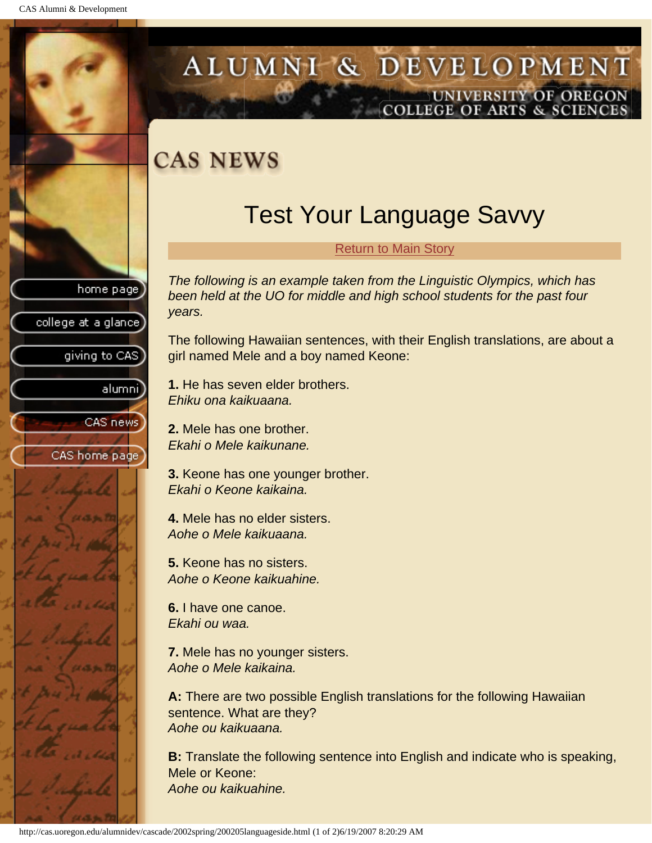college at a glance]

giving to CAS

alumnil

CAS news

CAS home page

### <span id="page-7-0"></span>ALUMNI & DEVELOPMENT UNIVERSITY OF OREGON OLLEGE OF ARTS & SCIENCE

## **CAS NEWS**

## Test Your Language Savvy

#### [Return to Main Story](#page-2-0)

*The following is an example taken from the Linguistic Olympics, which has been held at the UO for middle and high school students for the past four years.*

The following Hawaiian sentences, with their English translations, are about a girl named Mele and a boy named Keone:

**1.** He has seven elder brothers. *Ehiku ona kaikuaana.*

**2.** Mele has one brother. *Ekahi o Mele kaikunane.*

**3.** Keone has one younger brother. *Ekahi o Keone kaikaina.*

**4.** Mele has no elder sisters. *Aohe o Mele kaikuaana.*

**5.** Keone has no sisters. *Aohe o Keone kaikuahine.*

**6.** I have one canoe. *Ekahi ou waa.*

**7.** Mele has no younger sisters. *Aohe o Mele kaikaina.*

**A:** There are two possible English translations for the following Hawaiian sentence. What are they? *Aohe ou kaikuaana.*

**B:** Translate the following sentence into English and indicate who is speaking, Mele or Keone: *Aohe ou kaikuahine.*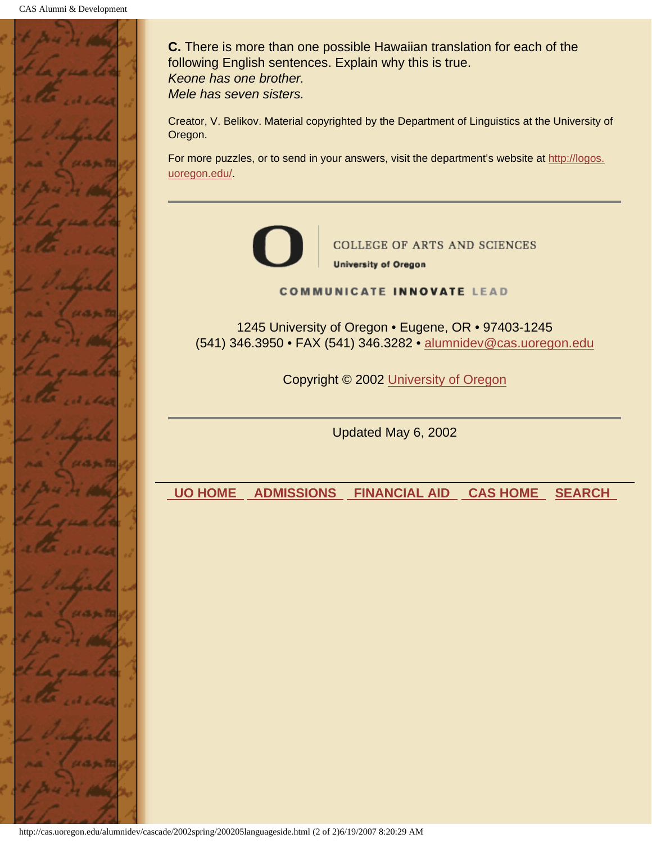

**C.** There is more than one possible Hawaiian translation for each of the following English sentences. Explain why this is true. *Keone has one brother. Mele has seven sisters.*

Creator, V. Belikov. Material copyrighted by the Department of Linguistics at the University of Oregon.

For more puzzles, or to send in your answers, visit the department's website at http://logos. uoregon.edu/.



**COLLEGE OF ARTS AND SCIENCES University of Oregon** 

#### **COMMUNICATE INNOVATE LEAD**

1245 University of Oregon • Eugene, OR • 97403-1245 (541) 346.3950 • FAX (541) 346.3282 • alumnidev@cas.uoregon.edu

Copyright © 2002 University of Oregon

Updated May 6, 2002

 **UO HOME ADMISSIONS FINANCIAL AID CAS HOME SEARCH**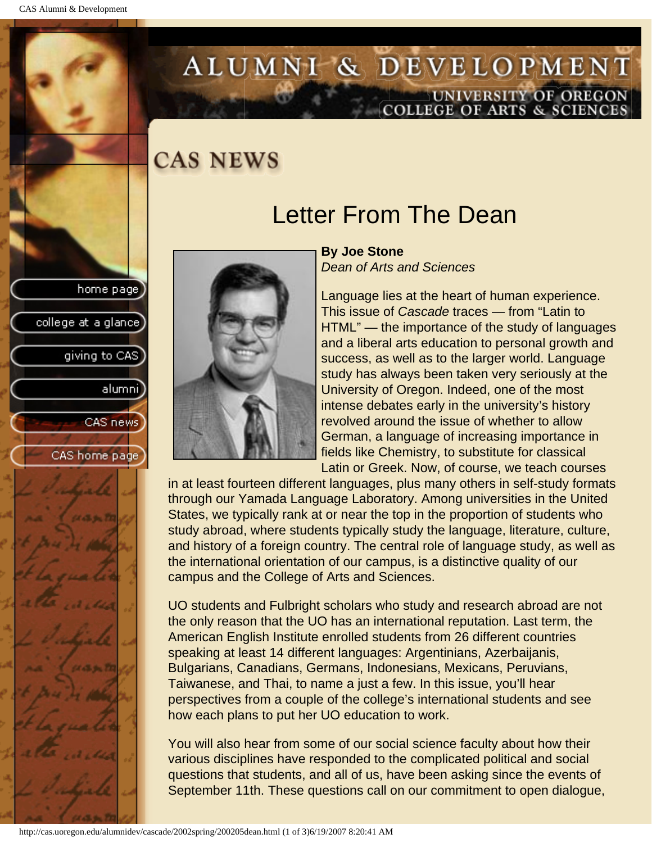college at a glance

giving to CAS

alumni

CAS news

CAS home page

# <span id="page-9-0"></span>ALUMNI & DEVELOPMENT UNIVERSITY OF OREGON<br>COLLEGE OF ARTS & SCIENCES

### **CAS NEWS**

### Letter From The Dean



**By Joe Stone** *Dean of Arts and Sciences*

Language lies at the heart of human experience. This issue of *Cascade* traces — from "Latin to HTML" — the importance of the study of languages and a liberal arts education to personal growth and success, as well as to the larger world. Language study has always been taken very seriously at the University of Oregon. Indeed, one of the most intense debates early in the university's history revolved around the issue of whether to allow German, a language of increasing importance in fields like Chemistry, to substitute for classical Latin or Greek. Now, of course, we teach courses

in at least fourteen different languages, plus many others in self-study formats through our Yamada Language Laboratory. Among universities in the United States, we typically rank at or near the top in the proportion of students who study abroad, where students typically study the language, literature, culture, and history of a foreign country. The central role of language study, as well as the international orientation of our campus, is a distinctive quality of our campus and the College of Arts and Sciences.

UO students and Fulbright scholars who study and research abroad are not the only reason that the UO has an international reputation. Last term, the American English Institute enrolled students from 26 different countries speaking at least 14 different languages: Argentinians, Azerbaijanis, Bulgarians, Canadians, Germans, Indonesians, Mexicans, Peruvians, Taiwanese, and Thai, to name a just a few. In this issue, you'll hear perspectives from a couple of the college's international students and see how each plans to put her UO education to work.

You will also hear from some of our social science faculty about how their various disciplines have responded to the complicated political and social questions that students, and all of us, have been asking since the events of September 11th. These questions call on our commitment to open dialogue,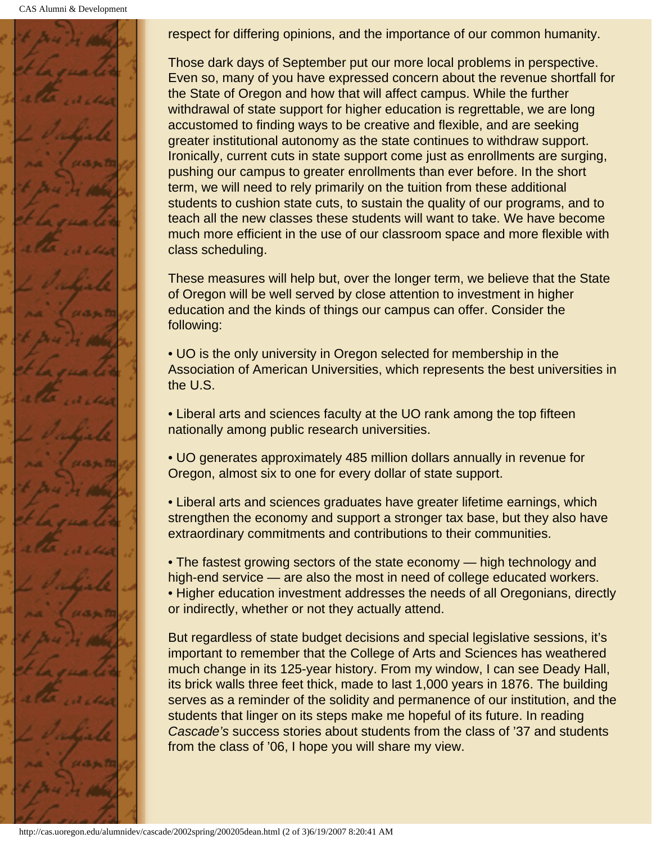CAS Alumni & Development



respect for differing opinions, and the importance of our common humanity.

Those dark days of September put our more local problems in perspective. Even so, many of you have expressed concern about the revenue shortfall for the State of Oregon and how that will affect campus. While the further withdrawal of state support for higher education is regrettable, we are long accustomed to finding ways to be creative and flexible, and are seeking greater institutional autonomy as the state continues to withdraw support. Ironically, current cuts in state support come just as enrollments are surging, pushing our campus to greater enrollments than ever before. In the short term, we will need to rely primarily on the tuition from these additional students to cushion state cuts, to sustain the quality of our programs, and to teach all the new classes these students will want to take. We have become much more efficient in the use of our classroom space and more flexible with class scheduling.

These measures will help but, over the longer term, we believe that the State of Oregon will be well served by close attention to investment in higher education and the kinds of things our campus can offer. Consider the following:

• UO is the only university in Oregon selected for membership in the Association of American Universities, which represents the best universities in the U.S.

• Liberal arts and sciences faculty at the UO rank among the top fifteen nationally among public research universities.

• UO generates approximately 485 million dollars annually in revenue for Oregon, almost six to one for every dollar of state support.

• Liberal arts and sciences graduates have greater lifetime earnings, which strengthen the economy and support a stronger tax base, but they also have extraordinary commitments and contributions to their communities.

• The fastest growing sectors of the state economy — high technology and high-end service — are also the most in need of college educated workers. • Higher education investment addresses the needs of all Oregonians, directly or indirectly, whether or not they actually attend.

But regardless of state budget decisions and special legislative sessions, it's important to remember that the College of Arts and Sciences has weathered much change in its 125-year history. From my window, I can see Deady Hall, its brick walls three feet thick, made to last 1,000 years in 1876. The building serves as a reminder of the solidity and permanence of our institution, and the students that linger on its steps make me hopeful of its future. In reading *Cascade's* success stories about students from the class of '37 and students from the class of '06, I hope you will share my view.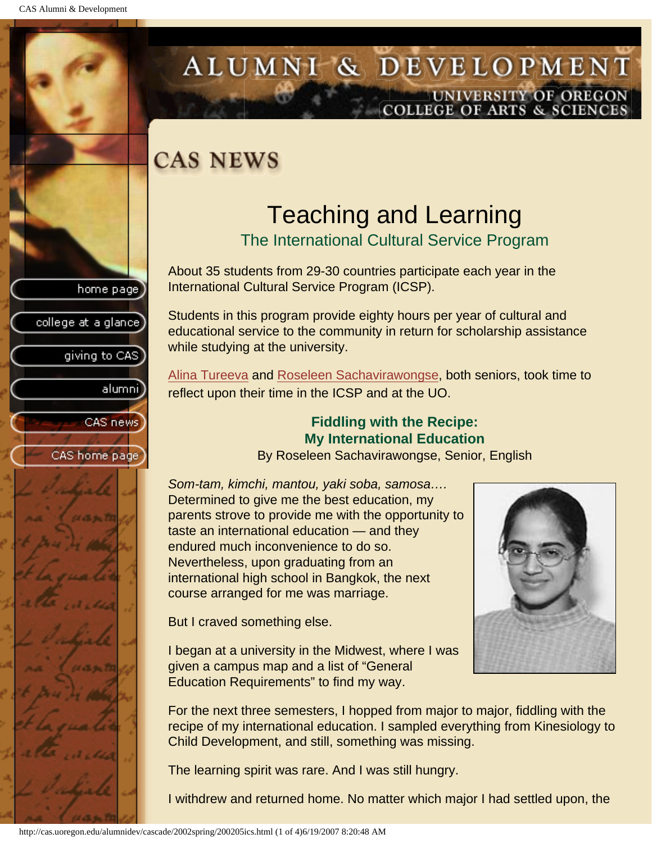college at a glance

giving to CAS

alumnil

CAS news

<span id="page-11-1"></span>CAS home page

# <span id="page-11-0"></span>ALUMNI & DEVELOPMENT UNIVERSITY OF OREGON<br>COLLEGE OF ARTS & SCIENCES

## **CAS NEWS**

# Teaching and Learning

The International Cultural Service Program

About 35 students from 29-30 countries participate each year in the International Cultural Service Program (ICSP).

Students in this program provide eighty hours per year of cultural and educational service to the community in return for scholarship assistance while studying at the university.

[Alina Tureeva](#page-12-0) and [Roseleen Sachavirawongse](#page-11-1), both seniors, took time to reflect upon their time in the ICSP and at the UO.

#### **Fiddling with the Recipe: My International Education**

By Roseleen Sachavirawongse, Senior, English

*Som-tam, kimchi, mantou, yaki soba, samosa….* Determined to give me the best education, my parents strove to provide me with the opportunity to taste an international education — and they endured much inconvenience to do so. Nevertheless, upon graduating from an international high school in Bangkok, the next course arranged for me was marriage.

But I craved something else.

I began at a university in the Midwest, where I was given a campus map and a list of "General Education Requirements" to find my way.



For the next three semesters, I hopped from major to major, fiddling with the recipe of my international education. I sampled everything from Kinesiology to Child Development, and still, something was missing.

The learning spirit was rare. And I was still hungry.

I withdrew and returned home. No matter which major I had settled upon, the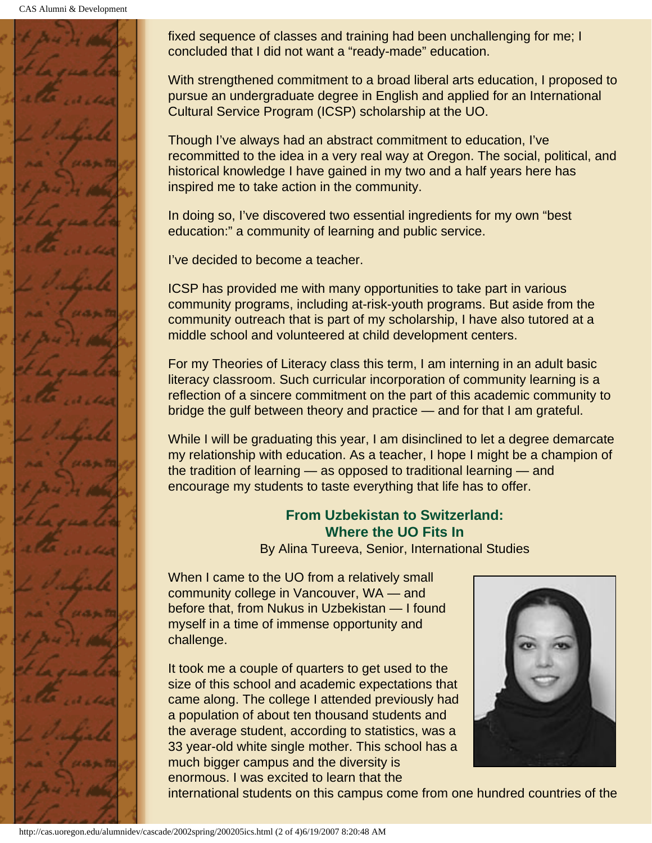CAS Alumni & Development



fixed sequence of classes and training had been unchallenging for me; I concluded that I did not want a "ready-made" education.

With strengthened commitment to a broad liberal arts education, I proposed to pursue an undergraduate degree in English and applied for an International Cultural Service Program (ICSP) scholarship at the UO.

Though I've always had an abstract commitment to education, I've recommitted to the idea in a very real way at Oregon. The social, political, and historical knowledge I have gained in my two and a half years here has inspired me to take action in the community.

In doing so, I've discovered two essential ingredients for my own "best education:" a community of learning and public service.

I've decided to become a teacher.

ICSP has provided me with many opportunities to take part in various community programs, including at-risk-youth programs. But aside from the community outreach that is part of my scholarship, I have also tutored at a middle school and volunteered at child development centers.

For my Theories of Literacy class this term, I am interning in an adult basic literacy classroom. Such curricular incorporation of community learning is a reflection of a sincere commitment on the part of this academic community to bridge the gulf between theory and practice — and for that I am grateful.

While I will be graduating this year, I am disinclined to let a degree demarcate my relationship with education. As a teacher, I hope I might be a champion of the tradition of learning — as opposed to traditional learning — and encourage my students to taste everything that life has to offer.

#### **From Uzbekistan to Switzerland: Where the UO Fits In**

By Alina Tureeva, Senior, International Studies

<span id="page-12-0"></span>When I came to the UO from a relatively small community college in Vancouver, WA — and before that, from Nukus in Uzbekistan — I found myself in a time of immense opportunity and challenge.

It took me a couple of quarters to get used to the size of this school and academic expectations that came along. The college I attended previously had a population of about ten thousand students and the average student, according to statistics, was a 33 year-old white single mother. This school has a much bigger campus and the diversity is enormous. I was excited to learn that the



international students on this campus come from one hundred countries of the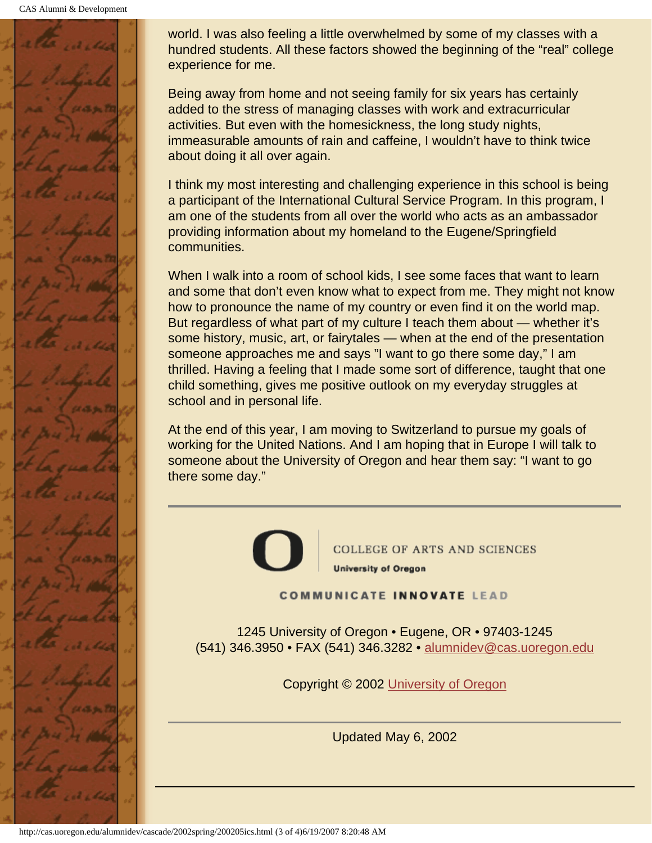CAS Alumni & Development



world. I was also feeling a little overwhelmed by some of my classes with a hundred students. All these factors showed the beginning of the "real" college experience for me.

Being away from home and not seeing family for six years has certainly added to the stress of managing classes with work and extracurricular activities. But even with the homesickness, the long study nights, immeasurable amounts of rain and caffeine, I wouldn't have to think twice about doing it all over again.

I think my most interesting and challenging experience in this school is being a participant of the International Cultural Service Program. In this program, I am one of the students from all over the world who acts as an ambassador providing information about my homeland to the Eugene/Springfield communities.

When I walk into a room of school kids, I see some faces that want to learn and some that don't even know what to expect from me. They might not know how to pronounce the name of my country or even find it on the world map. But regardless of what part of my culture I teach them about — whether it's some history, music, art, or fairytales — when at the end of the presentation someone approaches me and says "I want to go there some day," I am thrilled. Having a feeling that I made some sort of difference, taught that one child something, gives me positive outlook on my everyday struggles at school and in personal life.

At the end of this year, I am moving to Switzerland to pursue my goals of working for the United Nations. And I am hoping that in Europe I will talk to someone about the University of Oregon and hear them say: "I want to go there some day."



**COLLEGE OF ARTS AND SCIENCES University of Oregon** 

**COMMUNICATE INNOVATE LEAD** 

1245 University of Oregon • Eugene, OR • 97403-1245 (541) 346.3950 • FAX (541) 346.3282 • alumnidev@cas.uoregon.edu

Copyright © 2002 University of Oregon

Updated May 6, 2002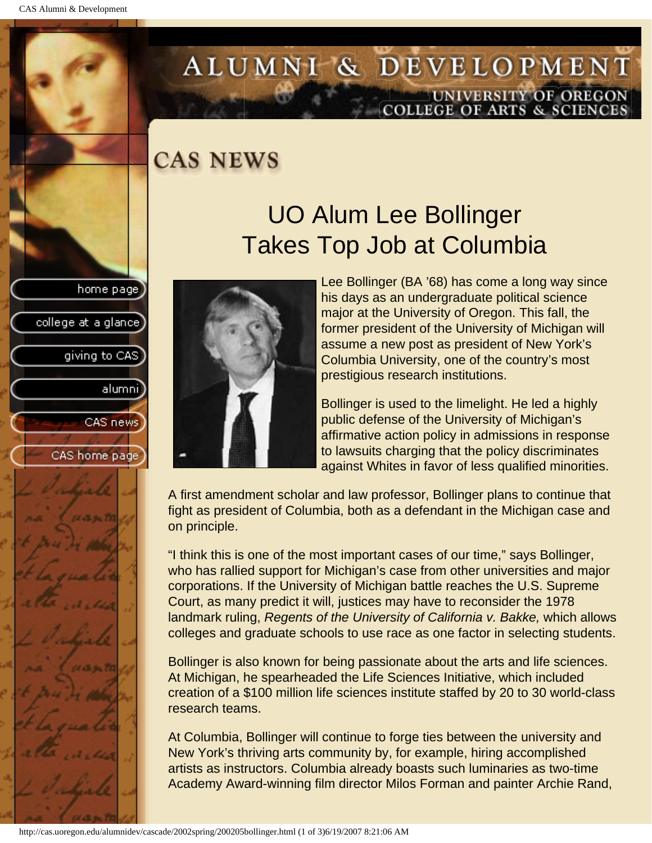college at a glance

giving to CAS

alumni

CAS news

CAS home page

# <span id="page-14-0"></span>ALUMNI & DEVELOPMENT UNIVERSITY OF OREGON<br>COLLEGE OF ARTS & SCIENCES

### **CAS NEWS**

## UO Alum Lee Bollinger Takes Top Job at Columbia



Lee Bollinger (BA '68) has come a long way since his days as an undergraduate political science major at the University of Oregon. This fall, the former president of the University of Michigan will assume a new post as president of New York's Columbia University, one of the country's most prestigious research institutions.

Bollinger is used to the limelight. He led a highly public defense of the University of Michigan's affirmative action policy in admissions in response to lawsuits charging that the policy discriminates against Whites in favor of less qualified minorities.

A first amendment scholar and law professor, Bollinger plans to continue that fight as president of Columbia, both as a defendant in the Michigan case and on principle.

"I think this is one of the most important cases of our time," says Bollinger, who has rallied support for Michigan's case from other universities and major corporations. If the University of Michigan battle reaches the U.S. Supreme Court, as many predict it will, justices may have to reconsider the 1978 landmark ruling, *Regents of the University of California v. Bakke,* which allows colleges and graduate schools to use race as one factor in selecting students.

Bollinger is also known for being passionate about the arts and life sciences. At Michigan, he spearheaded the Life Sciences Initiative, which included creation of a \$100 million life sciences institute staffed by 20 to 30 world-class research teams.

At Columbia, Bollinger will continue to forge ties between the university and New York's thriving arts community by, for example, hiring accomplished artists as instructors. Columbia already boasts such luminaries as two-time Academy Award-winning film director Milos Forman and painter Archie Rand,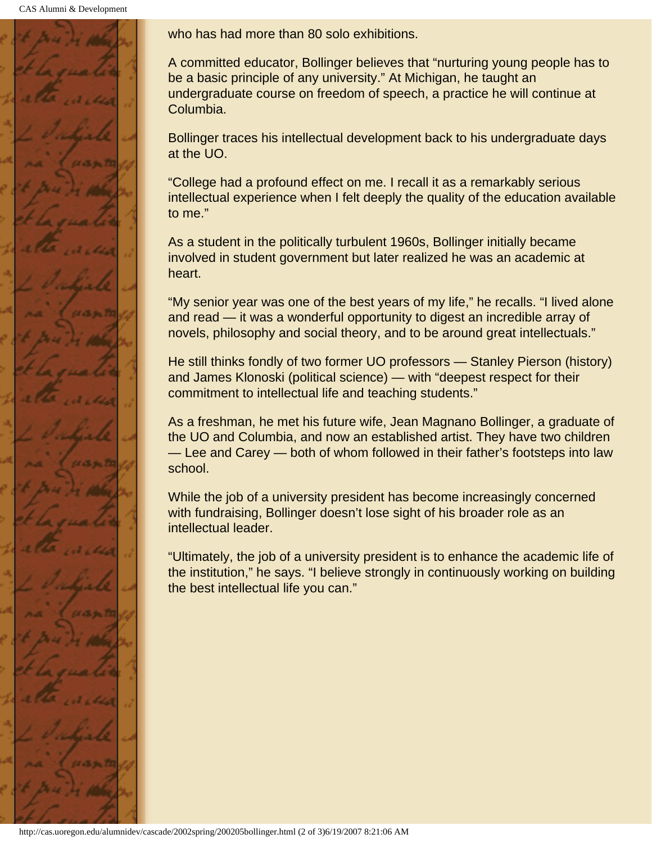CAS Alumni & Development



who has had more than 80 solo exhibitions.

A committed educator, Bollinger believes that "nurturing young people has to be a basic principle of any university." At Michigan, he taught an undergraduate course on freedom of speech, a practice he will continue at Columbia.

Bollinger traces his intellectual development back to his undergraduate days at the UO.

"College had a profound effect on me. I recall it as a remarkably serious intellectual experience when I felt deeply the quality of the education available to me."

As a student in the politically turbulent 1960s, Bollinger initially became involved in student government but later realized he was an academic at heart.

"My senior year was one of the best years of my life," he recalls. "I lived alone and read — it was a wonderful opportunity to digest an incredible array of novels, philosophy and social theory, and to be around great intellectuals."

He still thinks fondly of two former UO professors — Stanley Pierson (history) and James Klonoski (political science) — with "deepest respect for their commitment to intellectual life and teaching students."

As a freshman, he met his future wife, Jean Magnano Bollinger, a graduate of the UO and Columbia, and now an established artist. They have two children — Lee and Carey — both of whom followed in their father's footsteps into law school.

While the job of a university president has become increasingly concerned with fundraising, Bollinger doesn't lose sight of his broader role as an intellectual leader.

"Ultimately, the job of a university president is to enhance the academic life of the institution," he says. "I believe strongly in continuously working on building the best intellectual life you can."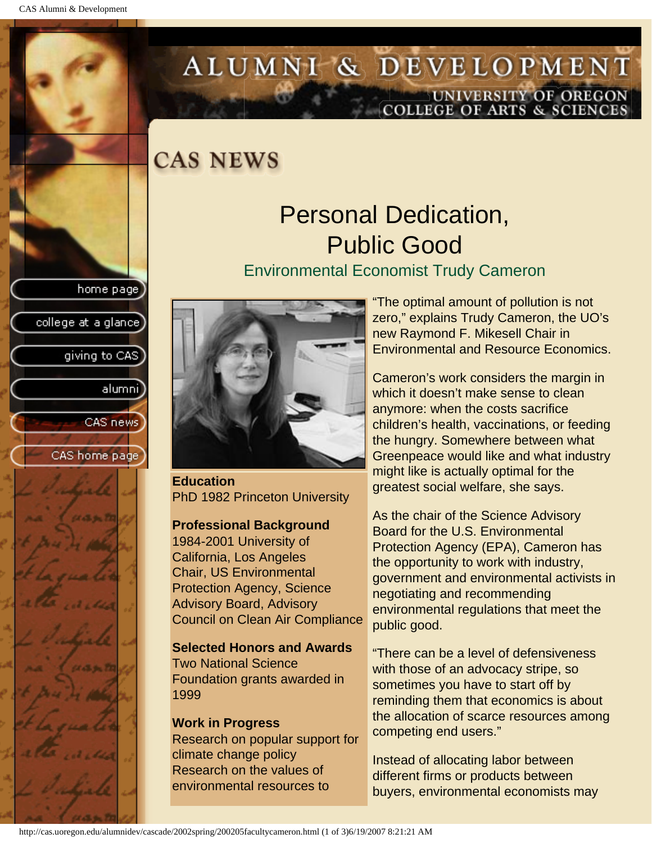college at a glance]

giving to CAS

alumnil

CAS news

CAS home page

# <span id="page-16-0"></span>ALUMNI & DEVELOPMENT UNIVERSITY OF OREGON<br>COLLEGE OF ARTS & SCIENCES

**CAS NEWS** 

## Personal Dedication, Public Good

#### Environmental Economist Trudy Cameron



**Education** PhD 1982 Princeton University

#### **Professional Background**

1984-2001 University of California, Los Angeles Chair, US Environmental Protection Agency, Science Advisory Board, Advisory Council on Clean Air Compliance

**Selected Honors and Awards**  Two National Science Foundation grants awarded in 1999

#### **Work in Progress** Research on popular support for climate change policy Research on the values of environmental resources to

"The optimal amount of pollution is not zero," explains Trudy Cameron, the UO's new Raymond F. Mikesell Chair in Environmental and Resource Economics.

Cameron's work considers the margin in which it doesn't make sense to clean anymore: when the costs sacrifice children's health, vaccinations, or feeding the hungry. Somewhere between what Greenpeace would like and what industry might like is actually optimal for the greatest social welfare, she says.

As the chair of the Science Advisory Board for the U.S. Environmental Protection Agency (EPA), Cameron has the opportunity to work with industry, government and environmental activists in negotiating and recommending environmental regulations that meet the public good.

"There can be a level of defensiveness with those of an advocacy stripe, so sometimes you have to start off by reminding them that economics is about the allocation of scarce resources among competing end users."

Instead of allocating labor between different firms or products between buyers, environmental economists may

http://cas.uoregon.edu/alumnidev/cascade/2002spring/200205facultycameron.html (1 of 3)6/19/2007 8:21:21 AM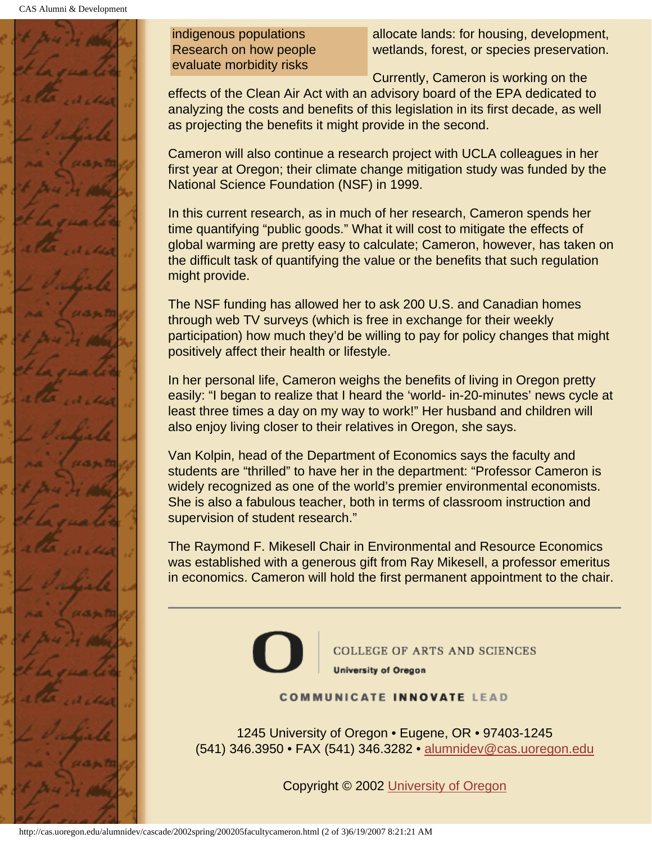

indigenous populations Research on how people evaluate morbidity risks

allocate lands: for housing, development, wetlands, forest, or species preservation.

Currently, Cameron is working on the effects of the Clean Air Act with an advisory board of the EPA dedicated to analyzing the costs and benefits of this legislation in its first decade, as well as projecting the benefits it might provide in the second.

Cameron will also continue a research project with UCLA colleagues in her first year at Oregon; their climate change mitigation study was funded by the National Science Foundation (NSF) in 1999.

In this current research, as in much of her research, Cameron spends her time quantifying "public goods." What it will cost to mitigate the effects of global warming are pretty easy to calculate; Cameron, however, has taken on the difficult task of quantifying the value or the benefits that such regulation might provide.

The NSF funding has allowed her to ask 200 U.S. and Canadian homes through web TV surveys (which is free in exchange for their weekly participation) how much they'd be willing to pay for policy changes that might positively affect their health or lifestyle.

In her personal life, Cameron weighs the benefits of living in Oregon pretty easily: "I began to realize that I heard the 'world- in-20-minutes' news cycle at least three times a day on my way to work!" Her husband and children will also enjoy living closer to their relatives in Oregon, she says.

Van Kolpin, head of the Department of Economics says the faculty and students are "thrilled" to have her in the department: "Professor Cameron is widely recognized as one of the world's premier environmental economists. She is also a fabulous teacher, both in terms of classroom instruction and supervision of student research."

The Raymond F. Mikesell Chair in Environmental and Resource Economics was established with a generous gift from Ray Mikesell, a professor emeritus in economics. Cameron will hold the first permanent appointment to the chair.



COLLEGE OF ARTS AND SCIENCES **University of Oregon** 

**COMMUNICATE INNOVATE LEAD** 

1245 University of Oregon • Eugene, OR • 97403-1245 (541) 346.3950 • FAX (541) 346.3282 • alumnidev@cas.uoregon.edu

Copyright © 2002 University of Oregon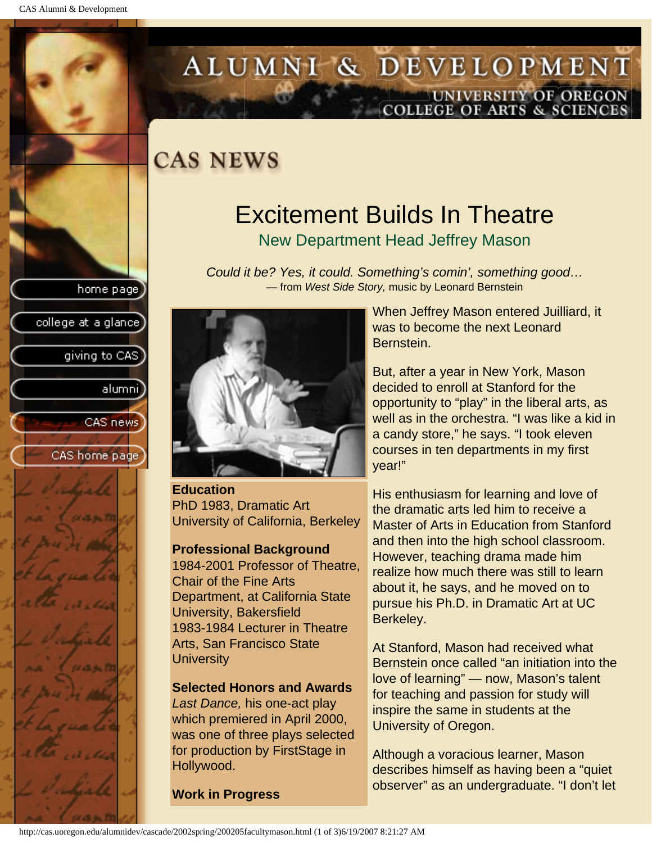college at a glance]

giving to CAS

alumnil

CAS news

CAS home page

## <span id="page-18-0"></span>ALUMNI & DEVELOPMENT UNIVERSITY OF OREGON<br>COLLEGE OF ARTS & SCIENCES

### **CAS NEWS**

## Excitement Builds In Theatre

New Department Head Jeffrey Mason

*Could it be? Yes, it could. Something's comin', something good…* — from *West Side Story,* music by Leonard Bernstein



**Education** PhD 1983, Dramatic Art University of California, Berkeley

#### **Professional Background**

1984-2001 Professor of Theatre, Chair of the Fine Arts Department, at California State University, Bakersfield 1983-1984 Lecturer in Theatre Arts, San Francisco State **University** 

#### **Selected Honors and Awards**

*Last Dance,* his one-act play which premiered in April 2000, was one of three plays selected for production by FirstStage in Hollywood.

**Work in Progress**

When Jeffrey Mason entered Juilliard, it was to become the next Leonard Bernstein.

But, after a year in New York, Mason decided to enroll at Stanford for the opportunity to "play" in the liberal arts, as well as in the orchestra. "I was like a kid in a candy store," he says. "I took eleven courses in ten departments in my first year!"

His enthusiasm for learning and love of the dramatic arts led him to receive a Master of Arts in Education from Stanford and then into the high school classroom. However, teaching drama made him realize how much there was still to learn about it, he says, and he moved on to pursue his Ph.D. in Dramatic Art at UC Berkeley.

At Stanford, Mason had received what Bernstein once called "an initiation into the love of learning" — now, Mason's talent for teaching and passion for study will inspire the same in students at the University of Oregon.

Although a voracious learner, Mason describes himself as having been a "quiet observer" as an undergraduate. "I don't let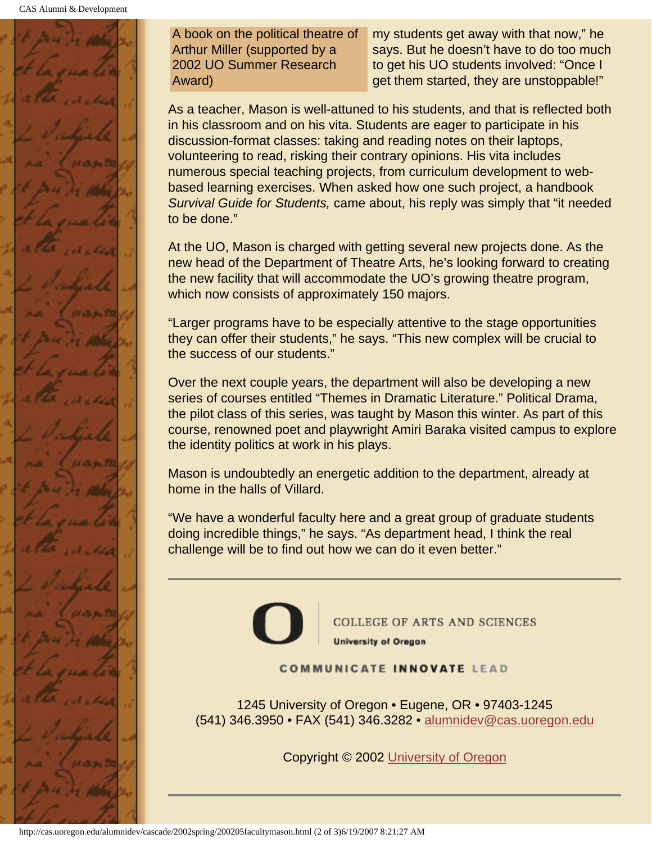

A book on the political theatre of Arthur Miller (supported by a 2002 UO Summer Research Award)

my students get away with that now," he says. But he doesn't have to do too much to get his UO students involved: "Once I get them started, they are unstoppable!"

As a teacher, Mason is well-attuned to his students, and that is reflected both in his classroom and on his vita. Students are eager to participate in his discussion-format classes: taking and reading notes on their laptops, volunteering to read, risking their contrary opinions. His vita includes numerous special teaching projects, from curriculum development to webbased learning exercises. When asked how one such project, a handbook *Survival Guide for Students,* came about, his reply was simply that "it needed to be done."

At the UO, Mason is charged with getting several new projects done. As the new head of the Department of Theatre Arts, he's looking forward to creating the new facility that will accommodate the UO's growing theatre program, which now consists of approximately 150 majors.

"Larger programs have to be especially attentive to the stage opportunities they can offer their students," he says. "This new complex will be crucial to the success of our students."

Over the next couple years, the department will also be developing a new series of courses entitled "Themes in Dramatic Literature." Political Drama, the pilot class of this series, was taught by Mason this winter. As part of this course, renowned poet and playwright Amiri Baraka visited campus to explore the identity politics at work in his plays.

Mason is undoubtedly an energetic addition to the department, already at home in the halls of Villard.

"We have a wonderful faculty here and a great group of graduate students doing incredible things," he says. "As department head, I think the real challenge will be to find out how we can do it even better."



**COLLEGE OF ARTS AND SCIENCES University of Oregon** 

#### **COMMUNICATE INNOVATE LEAD**

1245 University of Oregon • Eugene, OR • 97403-1245 (541) 346.3950 • FAX (541) 346.3282 • alumnidev@cas.uoregon.edu

Copyright © 2002 University of Oregon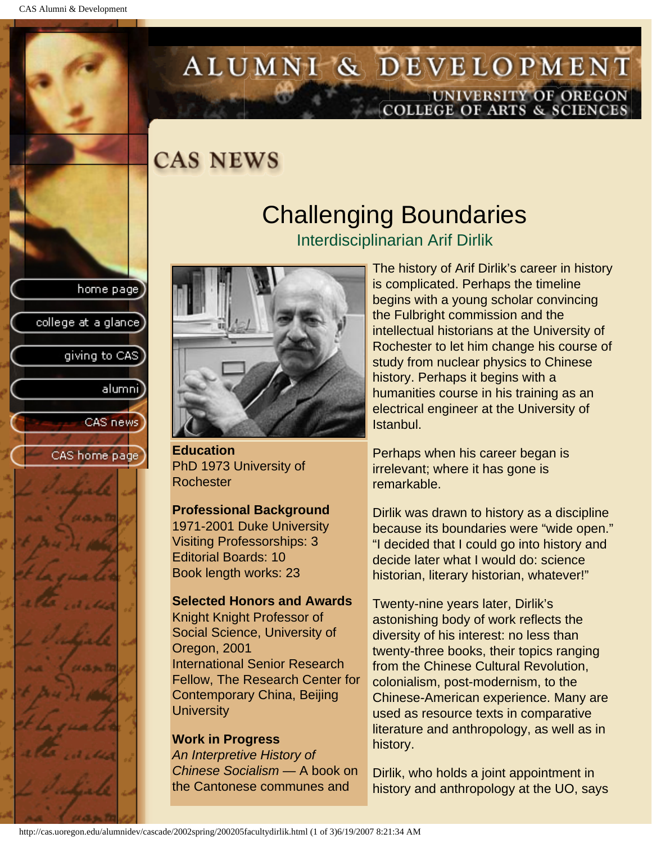college at a glance]

giving to CAS

alumnil

CAS news

CAS home page

# <span id="page-20-0"></span>ALUMNI & DEVELOPMENT UNIVERSITY OF OREGON<br>COLLEGE OF ARTS & SCIENCES

### **CAS NEWS**

### Challenging Boundaries Interdisciplinarian Arif Dirlik



**Education** PhD 1973 University of Rochester

#### **Professional Background**

1971-2001 Duke University Visiting Professorships: 3 Editorial Boards: 10 Book length works: 23

#### **Selected Honors and Awards**

Knight Knight Professor of Social Science, University of Oregon, 2001 International Senior Research Fellow, The Research Center for Contemporary China, Beijing **University** 

#### **Work in Progress**

*An Interpretive History of Chinese Socialism* — A book on the Cantonese communes and

The history of Arif Dirlik's career in history is complicated. Perhaps the timeline begins with a young scholar convincing the Fulbright commission and the intellectual historians at the University of Rochester to let him change his course of study from nuclear physics to Chinese history. Perhaps it begins with a humanities course in his training as an electrical engineer at the University of Istanbul.

Perhaps when his career began is irrelevant; where it has gone is remarkable.

Dirlik was drawn to history as a discipline because its boundaries were "wide open." "I decided that I could go into history and decide later what I would do: science historian, literary historian, whatever!"

Twenty-nine years later, Dirlik's astonishing body of work reflects the diversity of his interest: no less than twenty-three books, their topics ranging from the Chinese Cultural Revolution, colonialism, post-modernism, to the Chinese-American experience. Many are used as resource texts in comparative literature and anthropology, as well as in history.

Dirlik, who holds a joint appointment in history and anthropology at the UO, says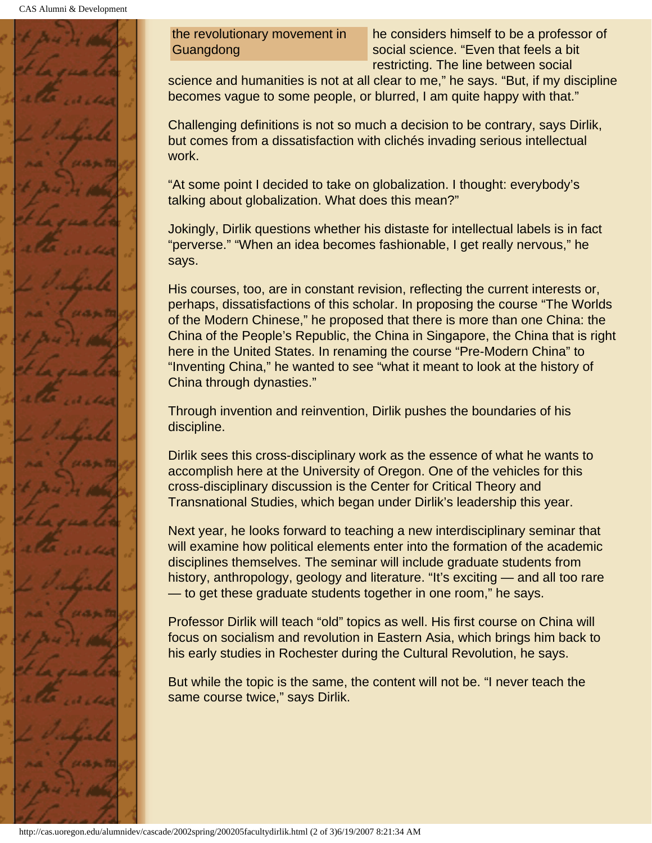

the revolutionary movement in Guangdong

he considers himself to be a professor of social science. "Even that feels a bit restricting. The line between social

science and humanities is not at all clear to me," he says. "But, if my discipline becomes vague to some people, or blurred, I am quite happy with that."

Challenging definitions is not so much a decision to be contrary, says Dirlik, but comes from a dissatisfaction with clichés invading serious intellectual work.

"At some point I decided to take on globalization. I thought: everybody's talking about globalization. What does this mean?"

Jokingly, Dirlik questions whether his distaste for intellectual labels is in fact "perverse." "When an idea becomes fashionable, I get really nervous," he says.

His courses, too, are in constant revision, reflecting the current interests or, perhaps, dissatisfactions of this scholar. In proposing the course "The Worlds of the Modern Chinese," he proposed that there is more than one China: the China of the People's Republic, the China in Singapore, the China that is right here in the United States. In renaming the course "Pre-Modern China" to "Inventing China," he wanted to see "what it meant to look at the history of China through dynasties."

Through invention and reinvention, Dirlik pushes the boundaries of his discipline.

Dirlik sees this cross-disciplinary work as the essence of what he wants to accomplish here at the University of Oregon. One of the vehicles for this cross-disciplinary discussion is the Center for Critical Theory and Transnational Studies, which began under Dirlik's leadership this year.

Next year, he looks forward to teaching a new interdisciplinary seminar that will examine how political elements enter into the formation of the academic disciplines themselves. The seminar will include graduate students from history, anthropology, geology and literature. "It's exciting — and all too rare — to get these graduate students together in one room," he says.

Professor Dirlik will teach "old" topics as well. His first course on China will focus on socialism and revolution in Eastern Asia, which brings him back to his early studies in Rochester during the Cultural Revolution, he says.

But while the topic is the same, the content will not be. "I never teach the same course twice," says Dirlik.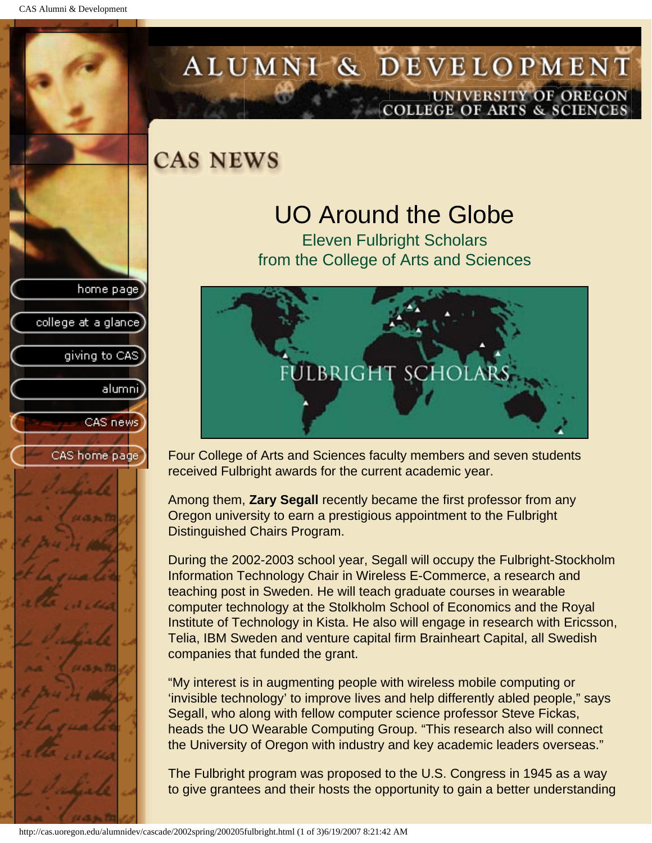college at a glance

giving to CAS

alumni

CAS news

CAS home page

## <span id="page-22-0"></span>ALUMNI & DEVELOPMENT UNIVERSITY OF OREGON<br>COLLEGE OF ARTS & SCIENCES

**CAS NEWS** 

## UO Around the Globe

Eleven Fulbright Scholars from the College of Arts and Sciences



Four College of Arts and Sciences faculty members and seven students received Fulbright awards for the current academic year.

Among them, **Zary Segall** recently became the first professor from any Oregon university to earn a prestigious appointment to the Fulbright Distinguished Chairs Program.

During the 2002-2003 school year, Segall will occupy the Fulbright-Stockholm Information Technology Chair in Wireless E-Commerce, a research and teaching post in Sweden. He will teach graduate courses in wearable computer technology at the Stolkholm School of Economics and the Royal Institute of Technology in Kista. He also will engage in research with Ericsson, Telia, IBM Sweden and venture capital firm Brainheart Capital, all Swedish companies that funded the grant.

"My interest is in augmenting people with wireless mobile computing or 'invisible technology' to improve lives and help differently abled people," says Segall, who along with fellow computer science professor Steve Fickas, heads the UO Wearable Computing Group. "This research also will connect the University of Oregon with industry and key academic leaders overseas."

The Fulbright program was proposed to the U.S. Congress in 1945 as a way to give grantees and their hosts the opportunity to gain a better understanding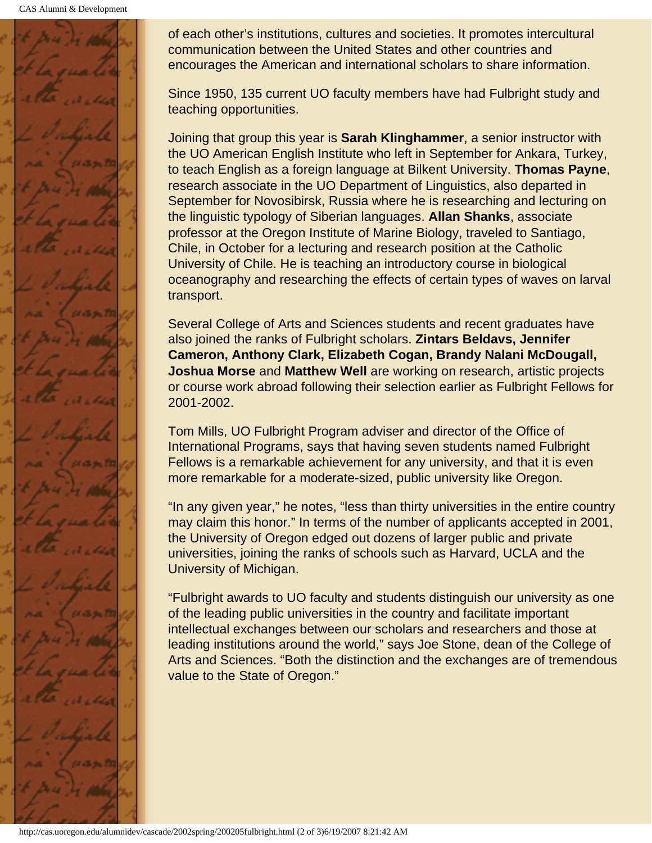

of each other's institutions, cultures and societies. It promotes intercultural communication between the United States and other countries and encourages the American and international scholars to share information.

Since 1950, 135 current UO faculty members have had Fulbright study and teaching opportunities.

Joining that group this year is **Sarah Klinghammer**, a senior instructor with the UO American English Institute who left in September for Ankara, Turkey, to teach English as a foreign language at Bilkent University. **Thomas Payne**, research associate in the UO Department of Linguistics, also departed in September for Novosibirsk, Russia where he is researching and lecturing on the linguistic typology of Siberian languages. **Allan Shanks**, associate professor at the Oregon Institute of Marine Biology, traveled to Santiago, Chile, in October for a lecturing and research position at the Catholic University of Chile. He is teaching an introductory course in biological oceanography and researching the effects of certain types of waves on larval transport.

Several College of Arts and Sciences students and recent graduates have also joined the ranks of Fulbright scholars. **Zintars Beldavs, Jennifer Cameron, Anthony Clark, Elizabeth Cogan, Brandy Nalani McDougall, Joshua Morse** and **Matthew Well** are working on research, artistic projects or course work abroad following their selection earlier as Fulbright Fellows for 2001-2002.

Tom Mills, UO Fulbright Program adviser and director of the Office of International Programs, says that having seven students named Fulbright Fellows is a remarkable achievement for any university, and that it is even more remarkable for a moderate-sized, public university like Oregon.

"In any given year," he notes, "less than thirty universities in the entire country may claim this honor." In terms of the number of applicants accepted in 2001, the University of Oregon edged out dozens of larger public and private universities, joining the ranks of schools such as Harvard, UCLA and the University of Michigan.

"Fulbright awards to UO faculty and students distinguish our university as one of the leading public universities in the country and facilitate important intellectual exchanges between our scholars and researchers and those at leading institutions around the world," says Joe Stone, dean of the College of Arts and Sciences. "Both the distinction and the exchanges are of tremendous value to the State of Oregon."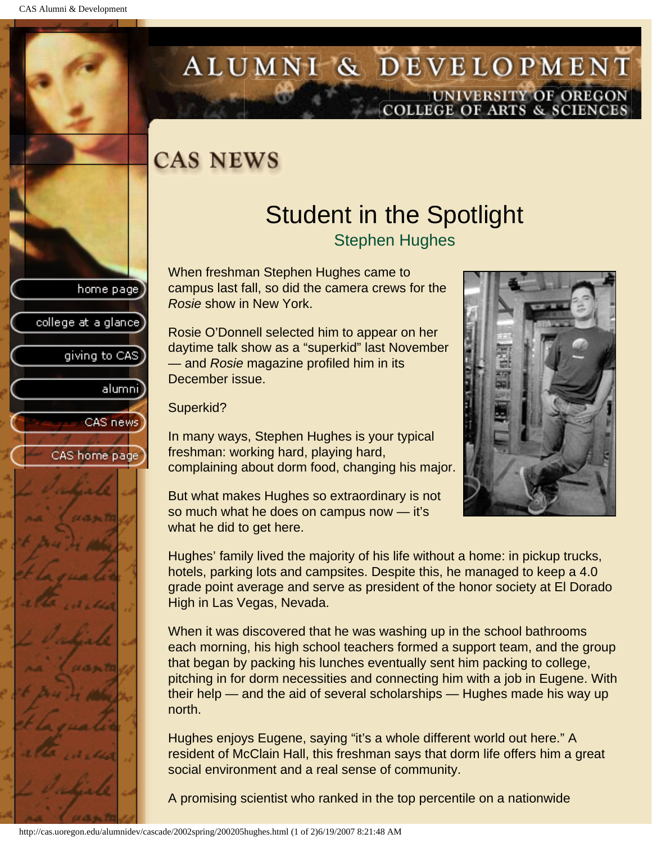college at a glance

giving to CAS

alumni

CAS news

CAS home page

# <span id="page-24-0"></span>ALUMNI & DEVELOPMENT UNIVERSITY OF OREGON<br>COLLEGE OF ARTS & SCIENCES

## **CAS NEWS**

## Student in the Spotlight

Stephen Hughes

When freshman Stephen Hughes came to campus last fall, so did the camera crews for the *Rosie* show in New York.

Rosie O'Donnell selected him to appear on her daytime talk show as a "superkid" last November — and *Rosie* magazine profiled him in its December issue.

Superkid?

In many ways, Stephen Hughes is your typical freshman: working hard, playing hard, complaining about dorm food, changing his major.

But what makes Hughes so extraordinary is not so much what he does on campus now — it's what he did to get here.

Hughes' family lived the majority of his life without a home: in pickup trucks, hotels, parking lots and campsites. Despite this, he managed to keep a 4.0 grade point average and serve as president of the honor society at El Dorado High in Las Vegas, Nevada.

When it was discovered that he was washing up in the school bathrooms each morning, his high school teachers formed a support team, and the group that began by packing his lunches eventually sent him packing to college, pitching in for dorm necessities and connecting him with a job in Eugene. With their help — and the aid of several scholarships — Hughes made his way up north.

Hughes enjoys Eugene, saying "it's a whole different world out here." A resident of McClain Hall, this freshman says that dorm life offers him a great social environment and a real sense of community.

A promising scientist who ranked in the top percentile on a nationwide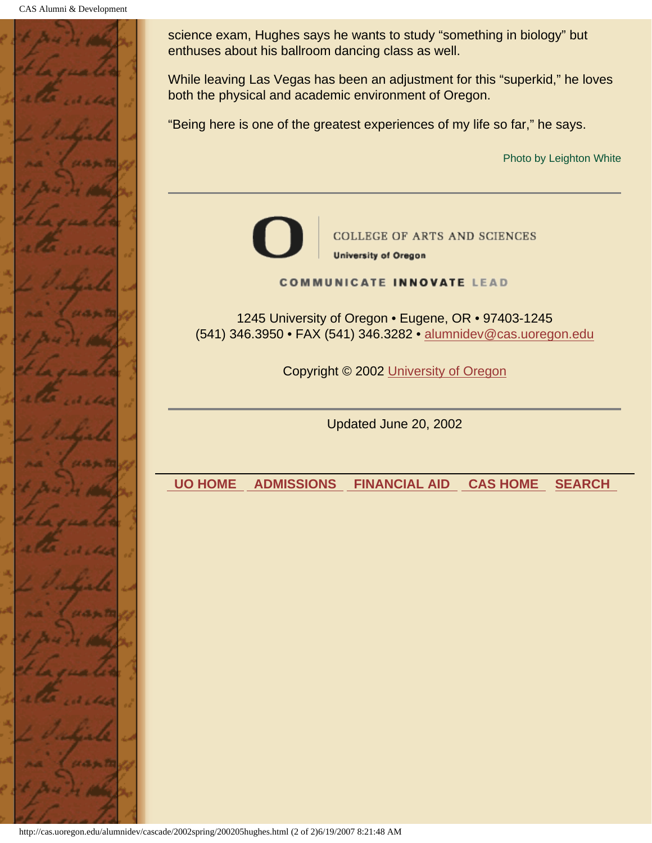CAS Alumni & Development



science exam, Hughes says he wants to study "something in biology" but enthuses about his ballroom dancing class as well.

While leaving Las Vegas has been an adjustment for this "superkid," he loves both the physical and academic environment of Oregon.

"Being here is one of the greatest experiences of my life so far," he says.

Photo by Leighton White



**COLLEGE OF ARTS AND SCIENCES** 

**University of Oregon** 

**COMMUNICATE INNOVATE LEAD** 

1245 University of Oregon • Eugene, OR • 97403-1245 (541) 346.3950 • FAX (541) 346.3282 • alumnidev@cas.uoregon.edu

Copyright © 2002 University of Oregon

Updated June 20, 2002

 **UO HOME ADMISSIONS FINANCIAL AID CAS HOME SEARCH**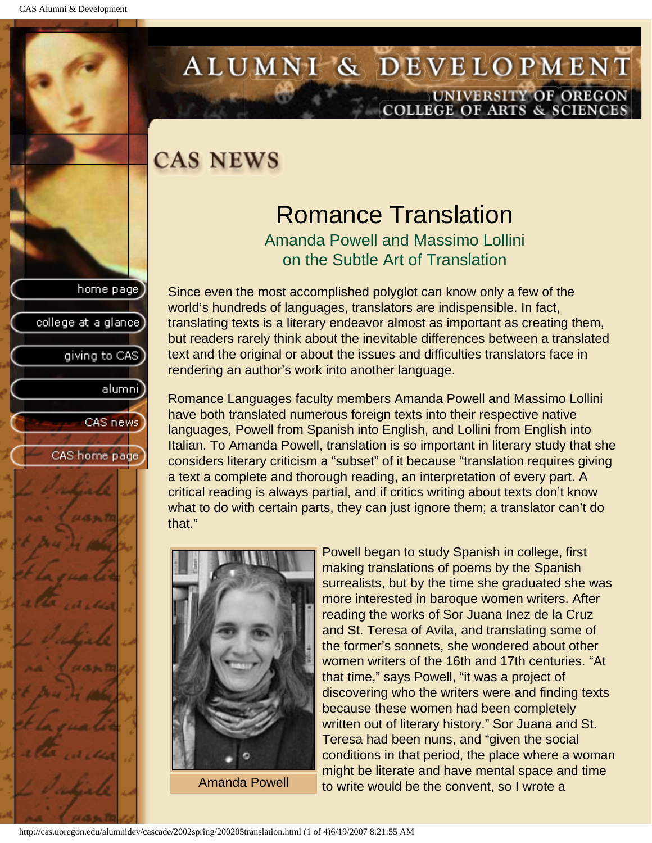college at a glance]

giving to CAS

alumnil

CAS news

CAS home page

# <span id="page-26-0"></span>ALUMNI & DEVELOPMENT UNIVERSITY OF OREGON<br>COLLEGE OF ARTS & SCIENCES

### **CAS NEWS**

# Romance Translation

Amanda Powell and Massimo Lollini on the Subtle Art of Translation

Since even the most accomplished polyglot can know only a few of the world's hundreds of languages, translators are indispensible. In fact, translating texts is a literary endeavor almost as important as creating them, but readers rarely think about the inevitable differences between a translated text and the original or about the issues and difficulties translators face in rendering an author's work into another language.

Romance Languages faculty members Amanda Powell and Massimo Lollini have both translated numerous foreign texts into their respective native languages, Powell from Spanish into English, and Lollini from English into Italian. To Amanda Powell, translation is so important in literary study that she considers literary criticism a "subset" of it because "translation requires giving a text a complete and thorough reading, an interpretation of every part. A critical reading is always partial, and if critics writing about texts don't know what to do with certain parts, they can just ignore them; a translator can't do that."



Amanda Powell

Powell began to study Spanish in college, first making translations of poems by the Spanish surrealists, but by the time she graduated she was more interested in baroque women writers. After reading the works of Sor Juana Inez de la Cruz and St. Teresa of Avila, and translating some of the former's sonnets, she wondered about other women writers of the 16th and 17th centuries. "At that time," says Powell, "it was a project of discovering who the writers were and finding texts because these women had been completely written out of literary history." Sor Juana and St. Teresa had been nuns, and "given the social conditions in that period, the place where a woman might be literate and have mental space and time to write would be the convent, so I wrote a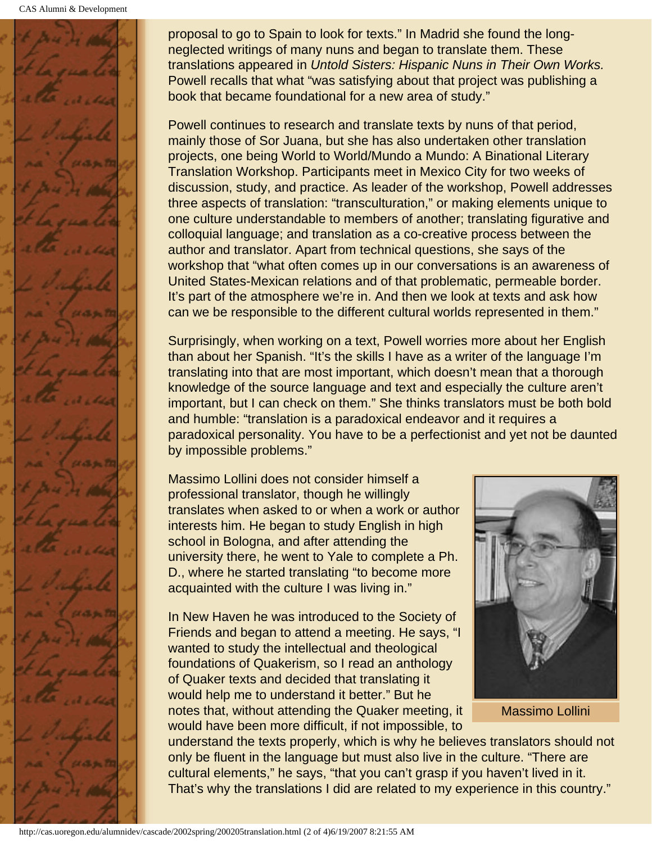CAS Alumni & Development



proposal to go to Spain to look for texts." In Madrid she found the longneglected writings of many nuns and began to translate them. These translations appeared in *Untold Sisters: Hispanic Nuns in Their Own Works.* Powell recalls that what "was satisfying about that project was publishing a book that became foundational for a new area of study."

Powell continues to research and translate texts by nuns of that period, mainly those of Sor Juana, but she has also undertaken other translation projects, one being World to World/Mundo a Mundo: A Binational Literary Translation Workshop. Participants meet in Mexico City for two weeks of discussion, study, and practice. As leader of the workshop, Powell addresses three aspects of translation: "transculturation," or making elements unique to one culture understandable to members of another; translating figurative and colloquial language; and translation as a co-creative process between the author and translator. Apart from technical questions, she says of the workshop that "what often comes up in our conversations is an awareness of United States-Mexican relations and of that problematic, permeable border. It's part of the atmosphere we're in. And then we look at texts and ask how can we be responsible to the different cultural worlds represented in them."

Surprisingly, when working on a text, Powell worries more about her English than about her Spanish. "It's the skills I have as a writer of the language I'm translating into that are most important, which doesn't mean that a thorough knowledge of the source language and text and especially the culture aren't important, but I can check on them." She thinks translators must be both bold and humble: "translation is a paradoxical endeavor and it requires a paradoxical personality. You have to be a perfectionist and yet not be daunted by impossible problems."

Massimo Lollini does not consider himself a professional translator, though he willingly translates when asked to or when a work or author interests him. He began to study English in high school in Bologna, and after attending the university there, he went to Yale to complete a Ph. D., where he started translating "to become more acquainted with the culture I was living in."

In New Haven he was introduced to the Society of Friends and began to attend a meeting. He says, "I wanted to study the intellectual and theological foundations of Quakerism, so I read an anthology of Quaker texts and decided that translating it would help me to understand it better." But he notes that, without attending the Quaker meeting, it would have been more difficult, if not impossible, to



Massimo Lollini

understand the texts properly, which is why he believes translators should not only be fluent in the language but must also live in the culture. "There are cultural elements," he says, "that you can't grasp if you haven't lived in it. That's why the translations I did are related to my experience in this country."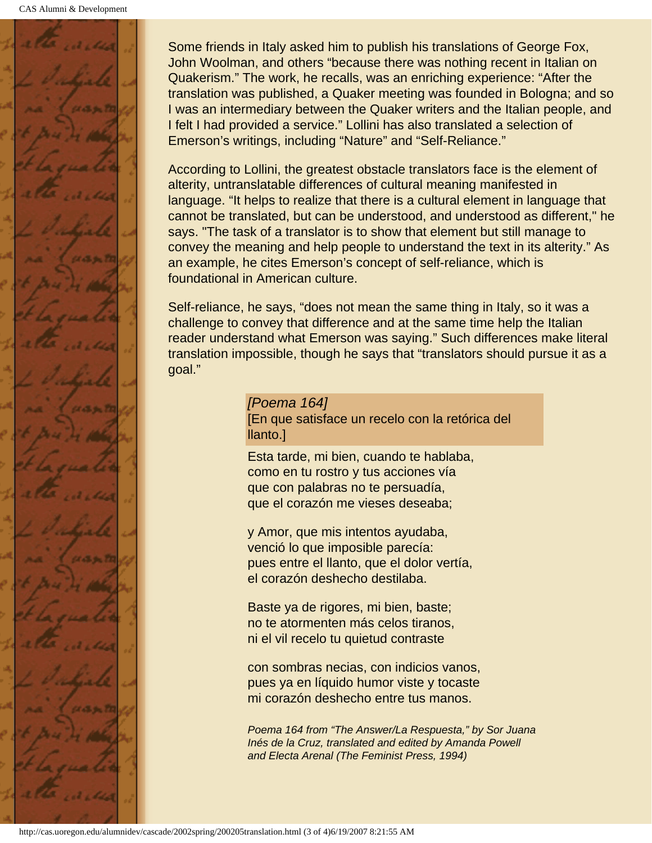

Some friends in Italy asked him to publish his translations of George Fox, John Woolman, and others "because there was nothing recent in Italian on Quakerism." The work, he recalls, was an enriching experience: "After the translation was published, a Quaker meeting was founded in Bologna; and so I was an intermediary between the Quaker writers and the Italian people, and I felt I had provided a service." Lollini has also translated a selection of Emerson's writings, including "Nature" and "Self-Reliance."

According to Lollini, the greatest obstacle translators face is the element of alterity, untranslatable differences of cultural meaning manifested in language. "It helps to realize that there is a cultural element in language that cannot be translated, but can be understood, and understood as different," he says. "The task of a translator is to show that element but still manage to convey the meaning and help people to understand the text in its alterity." As an example, he cites Emerson's concept of self-reliance, which is foundational in American culture.

Self-reliance, he says, "does not mean the same thing in Italy, so it was a challenge to convey that difference and at the same time help the Italian reader understand what Emerson was saying." Such differences make literal translation impossible, though he says that "translators should pursue it as a goal."

> *[Poema 164]* [En que satisface un recelo con la retórica del llanto.]

Esta tarde, mi bien, cuando te hablaba, como en tu rostro y tus acciones vía que con palabras no te persuadía, que el corazón me vieses deseaba;

y Amor, que mis intentos ayudaba, venció lo que imposible parecía: pues entre el llanto, que el dolor vertía, el corazón deshecho destilaba.

Baste ya de rigores, mi bien, baste; no te atormenten más celos tiranos, ni el vil recelo tu quietud contraste

con sombras necias, con indicios vanos, pues ya en líquido humor viste y tocaste mi corazón deshecho entre tus manos.

*Poema 164 from "The Answer/La Respuesta," by Sor Juana Inés de la Cruz, translated and edited by Amanda Powell and Electa Arenal (The Feminist Press, 1994)*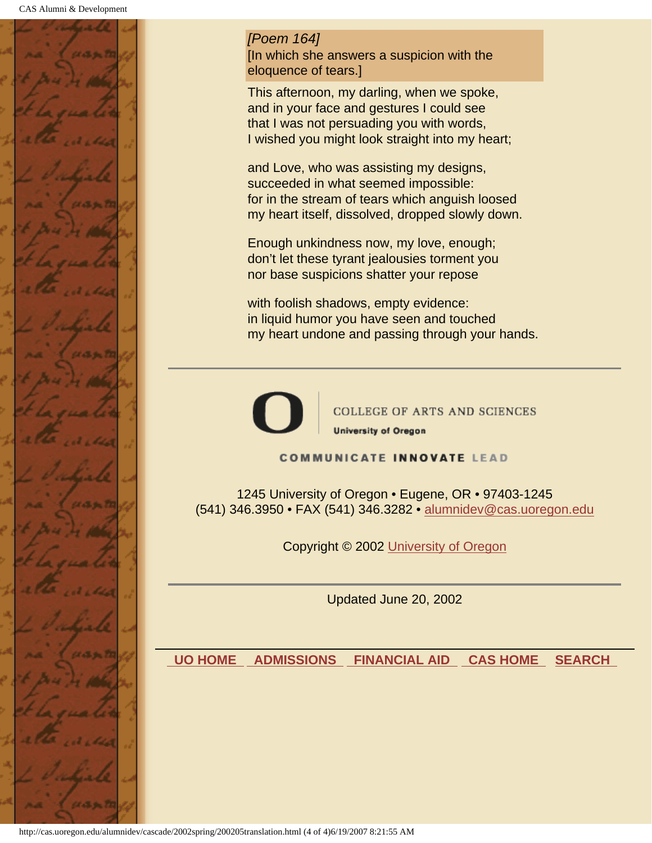

*[Poem 164]* [In which she answers a suspicion with the eloquence of tears.]

This afternoon, my darling, when we spoke, and in your face and gestures I could see that I was not persuading you with words, I wished you might look straight into my heart;

and Love, who was assisting my designs, succeeded in what seemed impossible: for in the stream of tears which anguish loosed my heart itself, dissolved, dropped slowly down.

Enough unkindness now, my love, enough; don't let these tyrant jealousies torment you nor base suspicions shatter your repose

with foolish shadows, empty evidence: in liquid humor you have seen and touched my heart undone and passing through your hands.



**COLLEGE OF ARTS AND SCIENCES University of Oregon** 

**COMMUNICATE INNOVATE LEAD** 

1245 University of Oregon • Eugene, OR • 97403-1245 (541) 346.3950 • FAX (541) 346.3282 • alumnidev@cas.uoregon.edu

Copyright © 2002 University of Oregon

Updated June 20, 2002

 **UO HOME ADMISSIONS FINANCIAL AID CAS HOME SEARCH**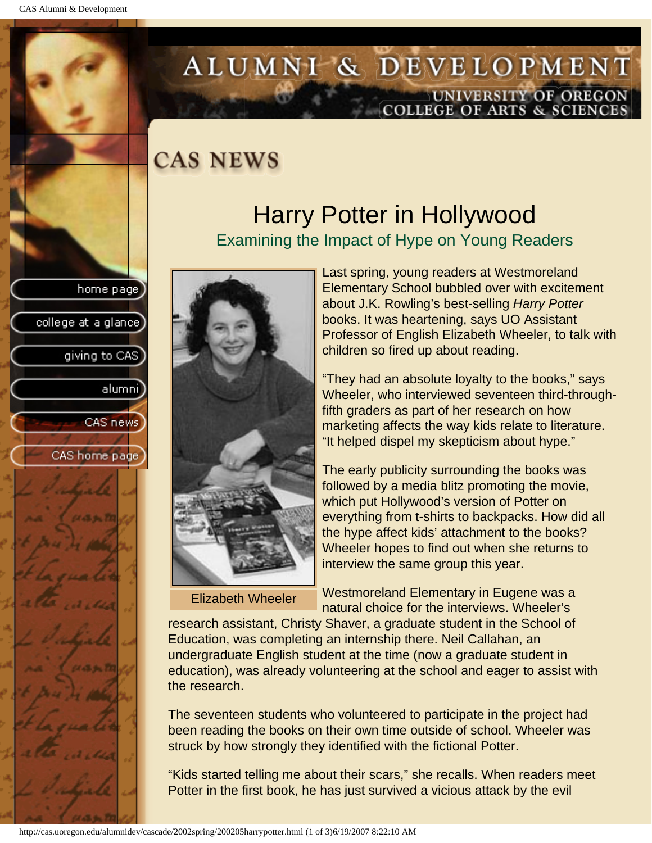college at a glance]

giving to CAS

alumni

CAS news

CAS home page

## <span id="page-30-0"></span>ALUMNI & DEVELOPMENT UNIVERSITY OF OREGON<br>COLLEGE OF ARTS & SCIENCES

## **CAS NEWS**

### Harry Potter in Hollywood Examining the Impact of Hype on Young Readers



Elizabeth Wheeler

Last spring, young readers at Westmoreland Elementary School bubbled over with excitement about J.K. Rowling's best-selling *Harry Potter* books. It was heartening, says UO Assistant Professor of English Elizabeth Wheeler, to talk with children so fired up about reading.

"They had an absolute loyalty to the books," says Wheeler, who interviewed seventeen third-throughfifth graders as part of her research on how marketing affects the way kids relate to literature. "It helped dispel my skepticism about hype."

The early publicity surrounding the books was followed by a media blitz promoting the movie, which put Hollywood's version of Potter on everything from t-shirts to backpacks. How did all the hype affect kids' attachment to the books? Wheeler hopes to find out when she returns to interview the same group this year.

Westmoreland Elementary in Eugene was a natural choice for the interviews. Wheeler's

research assistant, Christy Shaver, a graduate student in the School of Education, was completing an internship there. Neil Callahan, an undergraduate English student at the time (now a graduate student in education), was already volunteering at the school and eager to assist with the research.

The seventeen students who volunteered to participate in the project had been reading the books on their own time outside of school. Wheeler was struck by how strongly they identified with the fictional Potter.

"Kids started telling me about their scars," she recalls. When readers meet Potter in the first book, he has just survived a vicious attack by the evil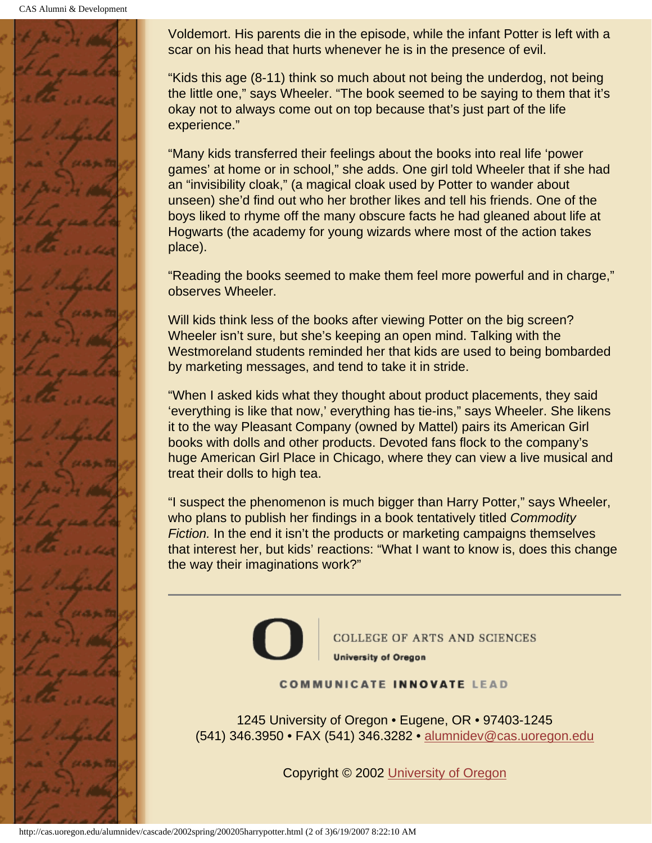

Voldemort. His parents die in the episode, while the infant Potter is left with a scar on his head that hurts whenever he is in the presence of evil.

"Kids this age (8-11) think so much about not being the underdog, not being the little one," says Wheeler. "The book seemed to be saying to them that it's okay not to always come out on top because that's just part of the life experience."

"Many kids transferred their feelings about the books into real life 'power games' at home or in school," she adds. One girl told Wheeler that if she had an "invisibility cloak," (a magical cloak used by Potter to wander about unseen) she'd find out who her brother likes and tell his friends. One of the boys liked to rhyme off the many obscure facts he had gleaned about life at Hogwarts (the academy for young wizards where most of the action takes place).

"Reading the books seemed to make them feel more powerful and in charge," observes Wheeler.

Will kids think less of the books after viewing Potter on the big screen? Wheeler isn't sure, but she's keeping an open mind. Talking with the Westmoreland students reminded her that kids are used to being bombarded by marketing messages, and tend to take it in stride.

"When I asked kids what they thought about product placements, they said 'everything is like that now,' everything has tie-ins," says Wheeler. She likens it to the way Pleasant Company (owned by Mattel) pairs its American Girl books with dolls and other products. Devoted fans flock to the company's huge American Girl Place in Chicago, where they can view a live musical and treat their dolls to high tea.

"I suspect the phenomenon is much bigger than Harry Potter," says Wheeler, who plans to publish her findings in a book tentatively titled *Commodity Fiction.* In the end it isn't the products or marketing campaigns themselves that interest her, but kids' reactions: "What I want to know is, does this change the way their imaginations work?"



**COLLEGE OF ARTS AND SCIENCES University of Oregon** 

#### **COMMUNICATE INNOVATE LEAD**

1245 University of Oregon • Eugene, OR • 97403-1245 (541) 346.3950 • FAX (541) 346.3282 • alumnidev@cas.uoregon.edu

Copyright © 2002 University of Oregon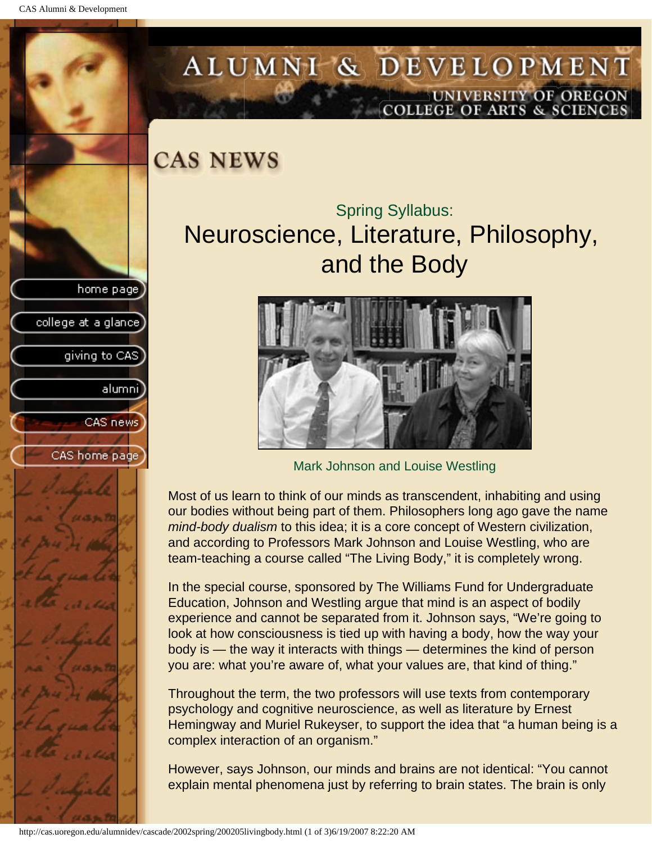<span id="page-32-0"></span>CAS Alumni & Development

home page

college at a glance

giving to CAS

alumni

CAS news

CAS home page

### ALUMNI & DEVELOPMENT UNIVERSITY OF OREGON OLLEGE OF ARTS & SCIENCE

**CAS NEWS** 

### Spring Syllabus: Neuroscience, Literature, Philosophy, and the Body



Mark Johnson and Louise Westling

Most of us learn to think of our minds as transcendent, inhabiting and using our bodies without being part of them. Philosophers long ago gave the name *mind-body dualism* to this idea; it is a core concept of Western civilization, and according to Professors Mark Johnson and Louise Westling, who are team-teaching a course called "The Living Body," it is completely wrong.

In the special course, sponsored by The Williams Fund for Undergraduate Education, Johnson and Westling argue that mind is an aspect of bodily experience and cannot be separated from it. Johnson says, "We're going to look at how consciousness is tied up with having a body, how the way your body is — the way it interacts with things — determines the kind of person you are: what you're aware of, what your values are, that kind of thing."

Throughout the term, the two professors will use texts from contemporary psychology and cognitive neuroscience, as well as literature by Ernest Hemingway and Muriel Rukeyser, to support the idea that "a human being is a complex interaction of an organism."

However, says Johnson, our minds and brains are not identical: "You cannot explain mental phenomena just by referring to brain states. The brain is only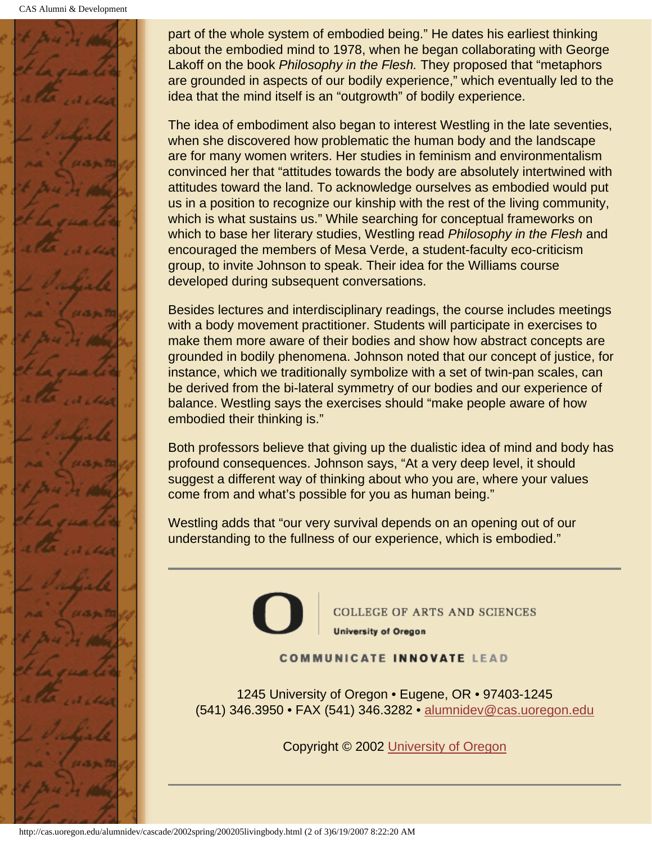CAS Alumni & Development



part of the whole system of embodied being." He dates his earliest thinking about the embodied mind to 1978, when he began collaborating with George Lakoff on the book *Philosophy in the Flesh.* They proposed that "metaphors are grounded in aspects of our bodily experience," which eventually led to the idea that the mind itself is an "outgrowth" of bodily experience.

The idea of embodiment also began to interest Westling in the late seventies, when she discovered how problematic the human body and the landscape are for many women writers. Her studies in feminism and environmentalism convinced her that "attitudes towards the body are absolutely intertwined with attitudes toward the land. To acknowledge ourselves as embodied would put us in a position to recognize our kinship with the rest of the living community, which is what sustains us." While searching for conceptual frameworks on which to base her literary studies, Westling read *Philosophy in the Flesh* and encouraged the members of Mesa Verde, a student-faculty eco-criticism group, to invite Johnson to speak. Their idea for the Williams course developed during subsequent conversations.

Besides lectures and interdisciplinary readings, the course includes meetings with a body movement practitioner. Students will participate in exercises to make them more aware of their bodies and show how abstract concepts are grounded in bodily phenomena. Johnson noted that our concept of justice, for instance, which we traditionally symbolize with a set of twin-pan scales, can be derived from the bi-lateral symmetry of our bodies and our experience of balance. Westling says the exercises should "make people aware of how embodied their thinking is."

Both professors believe that giving up the dualistic idea of mind and body has profound consequences. Johnson says, "At a very deep level, it should suggest a different way of thinking about who you are, where your values come from and what's possible for you as human being."

Westling adds that "our very survival depends on an opening out of our understanding to the fullness of our experience, which is embodied."



**COLLEGE OF ARTS AND SCIENCES University of Oregon** 

#### **COMMUNICATE INNOVATE LEAD**

1245 University of Oregon • Eugene, OR • 97403-1245 (541) 346.3950 • FAX (541) 346.3282 • alumnidev@cas.uoregon.edu

Copyright © 2002 University of Oregon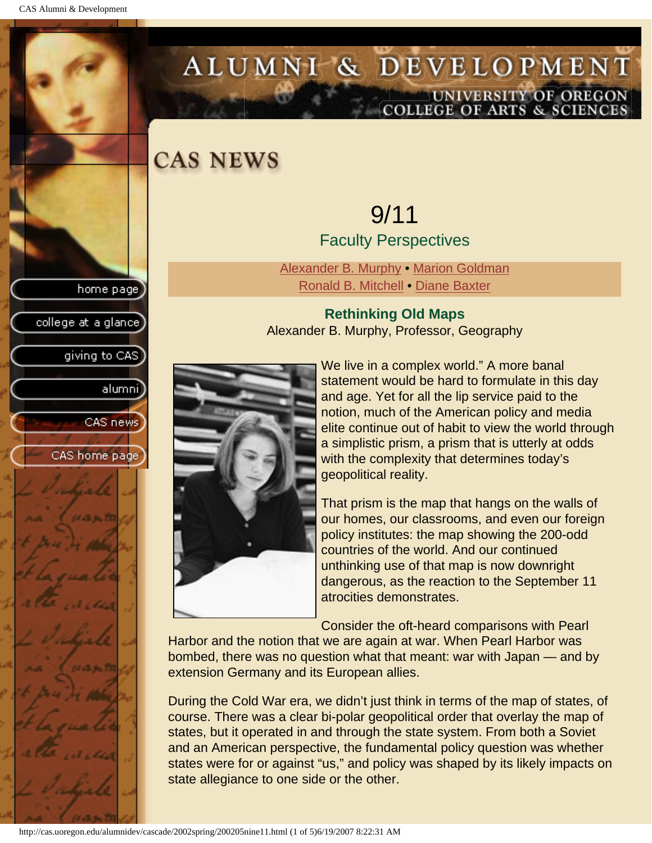<span id="page-34-0"></span>CAS Alumni & Development

home page

<span id="page-34-1"></span>college at a glance]

giving to CAS

alumnil

CAS news

CAS home page

# ALUMNI & DEVELOPMENT UNIVERSITY OF OREGON<br>COLLEGE OF ARTS & SCIENCES

**CAS NEWS** 

### 9/11 Faculty Perspectives

[Alexander B. Murphy](#page-34-1) • [Marion Goldman](#page-35-0) [Ronald B. Mitchell](#page-35-1) • [Diane Baxter](#page-37-0)

#### **Rethinking Old Maps** Alexander B. Murphy, Professor, Geography



We live in a complex world." A more banal statement would be hard to formulate in this day and age. Yet for all the lip service paid to the notion, much of the American policy and media elite continue out of habit to view the world through a simplistic prism, a prism that is utterly at odds with the complexity that determines today's geopolitical reality.

That prism is the map that hangs on the walls of our homes, our classrooms, and even our foreign policy institutes: the map showing the 200-odd countries of the world. And our continued unthinking use of that map is now downright dangerous, as the reaction to the September 11 atrocities demonstrates.

Consider the oft-heard comparisons with Pearl

Harbor and the notion that we are again at war. When Pearl Harbor was bombed, there was no question what that meant: war with Japan — and by extension Germany and its European allies.

During the Cold War era, we didn't just think in terms of the map of states, of course. There was a clear bi-polar geopolitical order that overlay the map of states, but it operated in and through the state system. From both a Soviet and an American perspective, the fundamental policy question was whether states were for or against "us," and policy was shaped by its likely impacts on state allegiance to one side or the other.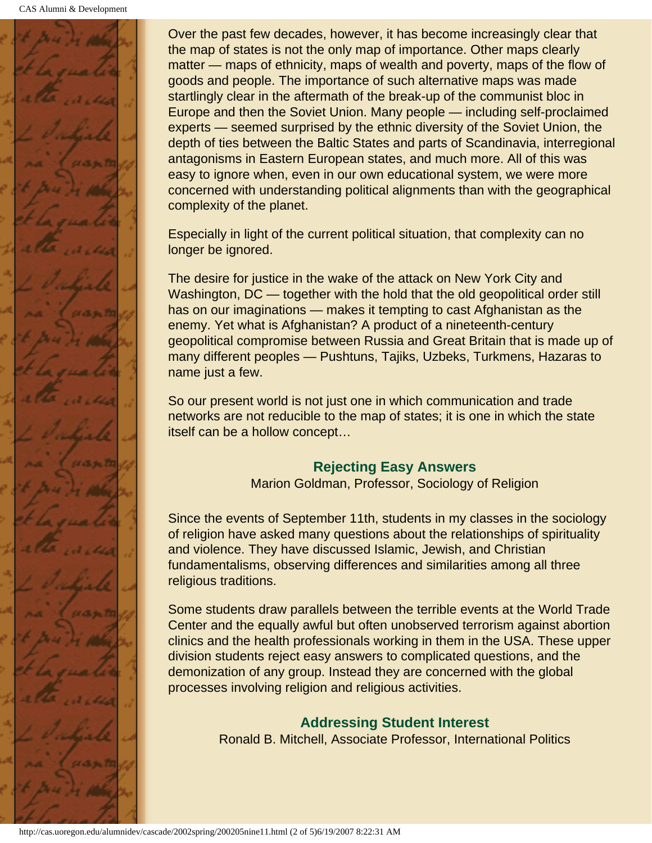

Over the past few decades, however, it has become increasingly clear that the map of states is not the only map of importance. Other maps clearly matter — maps of ethnicity, maps of wealth and poverty, maps of the flow of goods and people. The importance of such alternative maps was made startlingly clear in the aftermath of the break-up of the communist bloc in Europe and then the Soviet Union. Many people — including self-proclaimed experts — seemed surprised by the ethnic diversity of the Soviet Union, the depth of ties between the Baltic States and parts of Scandinavia, interregional antagonisms in Eastern European states, and much more. All of this was easy to ignore when, even in our own educational system, we were more concerned with understanding political alignments than with the geographical complexity of the planet.

Especially in light of the current political situation, that complexity can no longer be ignored.

The desire for justice in the wake of the attack on New York City and Washington, DC — together with the hold that the old geopolitical order still has on our imaginations — makes it tempting to cast Afghanistan as the enemy. Yet what is Afghanistan? A product of a nineteenth-century geopolitical compromise between Russia and Great Britain that is made up of many different peoples — Pushtuns, Tajiks, Uzbeks, Turkmens, Hazaras to name just a few.

So our present world is not just one in which communication and trade networks are not reducible to the map of states; it is one in which the state itself can be a hollow concept…

#### **Rejecting Easy Answers**

Marion Goldman, Professor, Sociology of Religion

<span id="page-35-0"></span>Since the events of September 11th, students in my classes in the sociology of religion have asked many questions about the relationships of spirituality and violence. They have discussed Islamic, Jewish, and Christian fundamentalisms, observing differences and similarities among all three religious traditions.

<span id="page-35-1"></span>Some students draw parallels between the terrible events at the World Trade Center and the equally awful but often unobserved terrorism against abortion clinics and the health professionals working in them in the USA. These upper division students reject easy answers to complicated questions, and the demonization of any group. Instead they are concerned with the global processes involving religion and religious activities.

#### **Addressing Student Interest**

Ronald B. Mitchell, Associate Professor, International Politics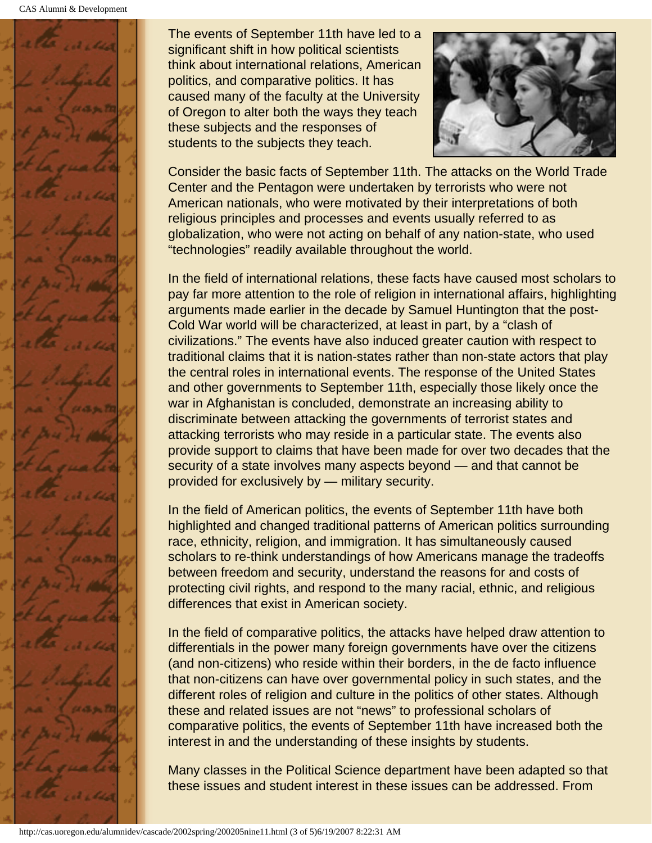

The events of September 11th have led to a significant shift in how political scientists think about international relations, American politics, and comparative politics. It has caused many of the faculty at the University of Oregon to alter both the ways they teach these subjects and the responses of students to the subjects they teach.



Consider the basic facts of September 11th. The attacks on the World Trade Center and the Pentagon were undertaken by terrorists who were not American nationals, who were motivated by their interpretations of both religious principles and processes and events usually referred to as globalization, who were not acting on behalf of any nation-state, who used "technologies" readily available throughout the world.

In the field of international relations, these facts have caused most scholars to pay far more attention to the role of religion in international affairs, highlighting arguments made earlier in the decade by Samuel Huntington that the post-Cold War world will be characterized, at least in part, by a "clash of civilizations." The events have also induced greater caution with respect to traditional claims that it is nation-states rather than non-state actors that play the central roles in international events. The response of the United States and other governments to September 11th, especially those likely once the war in Afghanistan is concluded, demonstrate an increasing ability to discriminate between attacking the governments of terrorist states and attacking terrorists who may reside in a particular state. The events also provide support to claims that have been made for over two decades that the security of a state involves many aspects beyond — and that cannot be provided for exclusively by — military security.

In the field of American politics, the events of September 11th have both highlighted and changed traditional patterns of American politics surrounding race, ethnicity, religion, and immigration. It has simultaneously caused scholars to re-think understandings of how Americans manage the tradeoffs between freedom and security, understand the reasons for and costs of protecting civil rights, and respond to the many racial, ethnic, and religious differences that exist in American society.

In the field of comparative politics, the attacks have helped draw attention to differentials in the power many foreign governments have over the citizens (and non-citizens) who reside within their borders, in the de facto influence that non-citizens can have over governmental policy in such states, and the different roles of religion and culture in the politics of other states. Although these and related issues are not "news" to professional scholars of comparative politics, the events of September 11th have increased both the interest in and the understanding of these insights by students.

Many classes in the Political Science department have been adapted so that these issues and student interest in these issues can be addressed. From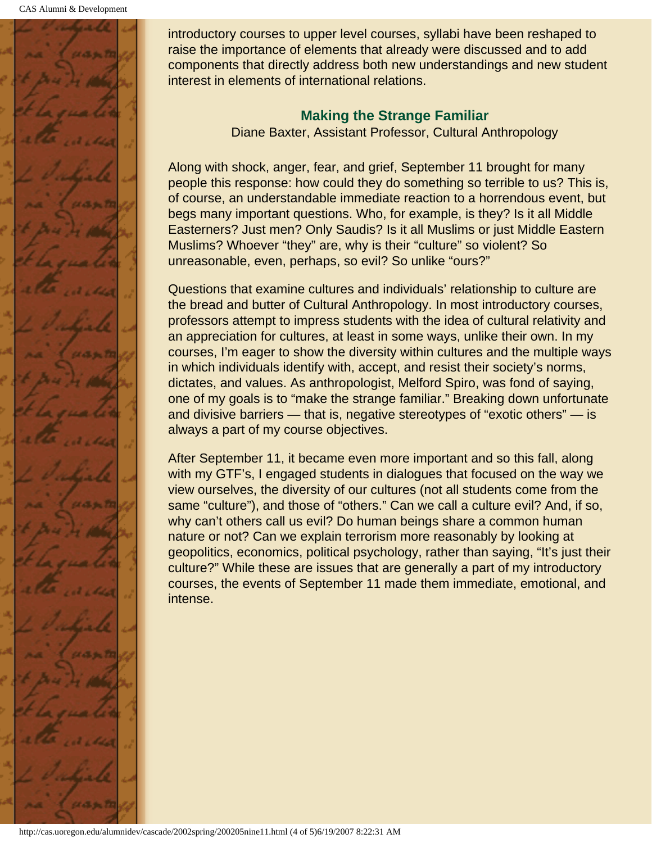<span id="page-37-0"></span>

introductory courses to upper level courses, syllabi have been reshaped to raise the importance of elements that already were discussed and to add components that directly address both new understandings and new student interest in elements of international relations.

#### **Making the Strange Familiar**

Diane Baxter, Assistant Professor, Cultural Anthropology

Along with shock, anger, fear, and grief, September 11 brought for many people this response: how could they do something so terrible to us? This is, of course, an understandable immediate reaction to a horrendous event, but begs many important questions. Who, for example, is they? Is it all Middle Easterners? Just men? Only Saudis? Is it all Muslims or just Middle Eastern Muslims? Whoever "they" are, why is their "culture" so violent? So unreasonable, even, perhaps, so evil? So unlike "ours?"

Questions that examine cultures and individuals' relationship to culture are the bread and butter of Cultural Anthropology. In most introductory courses, professors attempt to impress students with the idea of cultural relativity and an appreciation for cultures, at least in some ways, unlike their own. In my courses, I'm eager to show the diversity within cultures and the multiple ways in which individuals identify with, accept, and resist their society's norms, dictates, and values. As anthropologist, Melford Spiro, was fond of saying, one of my goals is to "make the strange familiar." Breaking down unfortunate and divisive barriers — that is, negative stereotypes of "exotic others" — is always a part of my course objectives.

After September 11, it became even more important and so this fall, along with my GTF's, I engaged students in dialogues that focused on the way we view ourselves, the diversity of our cultures (not all students come from the same "culture"), and those of "others." Can we call a culture evil? And, if so, why can't others call us evil? Do human beings share a common human nature or not? Can we explain terrorism more reasonably by looking at geopolitics, economics, political psychology, rather than saying, "It's just their culture?" While these are issues that are generally a part of my introductory courses, the events of September 11 made them immediate, emotional, and intense.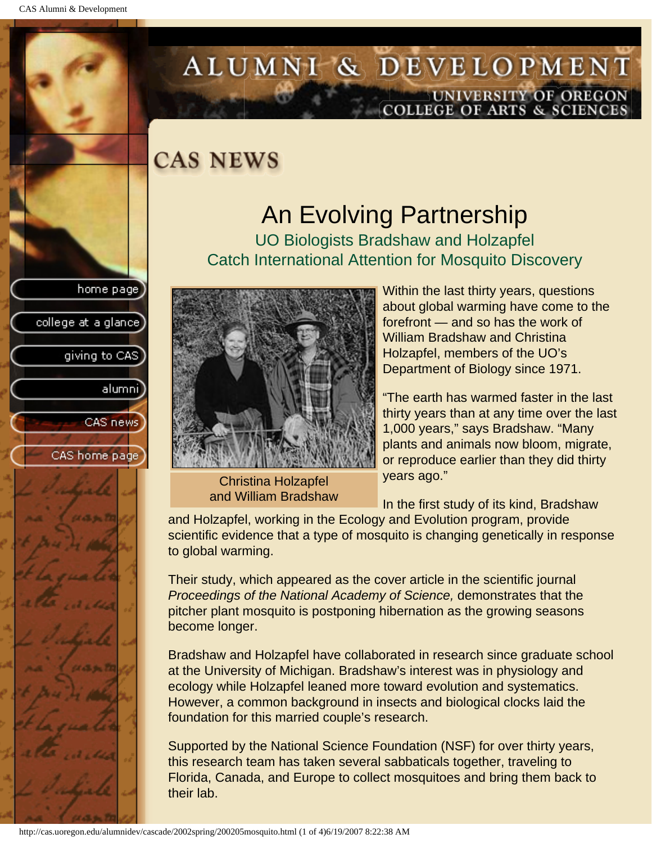college at a glance]

giving to CAS

alumnil

CAS news

CAS home page

# <span id="page-38-0"></span>ALUMNI & DEVELOPMENT UNIVERSITY OF OREGON<br>COLLEGE OF ARTS & SCIENCES

### **CAS NEWS**

## An Evolving Partnership

UO Biologists Bradshaw and Holzapfel Catch International Attention for Mosquito Discovery



Christina Holzapfel and William Bradshaw

Within the last thirty years, questions about global warming have come to the forefront — and so has the work of William Bradshaw and Christina Holzapfel, members of the UO's Department of Biology since 1971.

"The earth has warmed faster in the last thirty years than at any time over the last 1,000 years," says Bradshaw. "Many plants and animals now bloom, migrate, or reproduce earlier than they did thirty years ago."

In the first study of its kind, Bradshaw

and Holzapfel, working in the Ecology and Evolution program, provide scientific evidence that a type of mosquito is changing genetically in response to global warming.

Their study, which appeared as the cover article in the scientific journal *Proceedings of the National Academy of Science,* demonstrates that the pitcher plant mosquito is postponing hibernation as the growing seasons become longer.

Bradshaw and Holzapfel have collaborated in research since graduate school at the University of Michigan. Bradshaw's interest was in physiology and ecology while Holzapfel leaned more toward evolution and systematics. However, a common background in insects and biological clocks laid the foundation for this married couple's research.

Supported by the National Science Foundation (NSF) for over thirty years, this research team has taken several sabbaticals together, traveling to Florida, Canada, and Europe to collect mosquitoes and bring them back to their lab.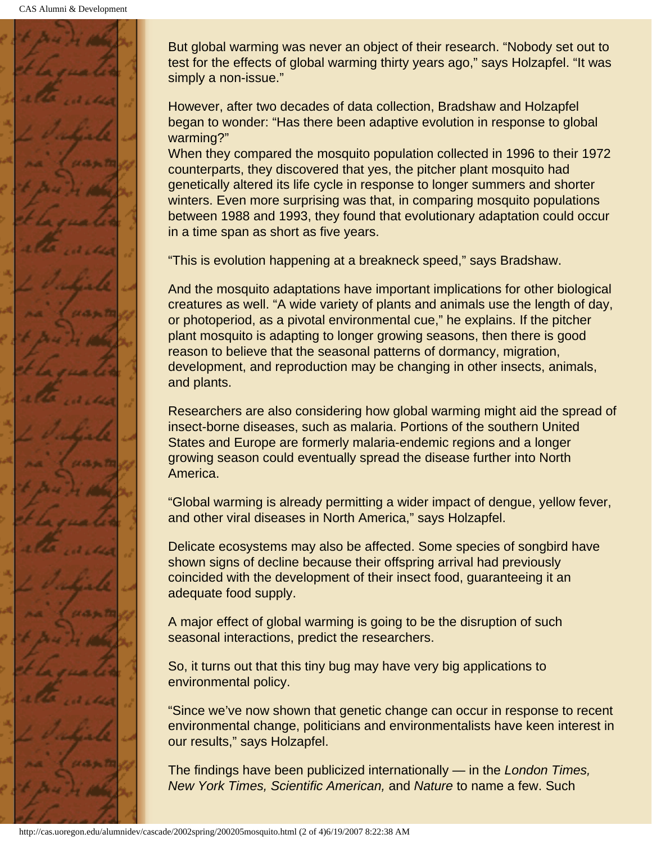

But global warming was never an object of their research. "Nobody set out to test for the effects of global warming thirty years ago," says Holzapfel. "It was simply a non-issue."

However, after two decades of data collection, Bradshaw and Holzapfel began to wonder: "Has there been adaptive evolution in response to global warming?"

When they compared the mosquito population collected in 1996 to their 1972 counterparts, they discovered that yes, the pitcher plant mosquito had genetically altered its life cycle in response to longer summers and shorter winters. Even more surprising was that, in comparing mosquito populations between 1988 and 1993, they found that evolutionary adaptation could occur in a time span as short as five years.

"This is evolution happening at a breakneck speed," says Bradshaw.

And the mosquito adaptations have important implications for other biological creatures as well. "A wide variety of plants and animals use the length of day, or photoperiod, as a pivotal environmental cue," he explains. If the pitcher plant mosquito is adapting to longer growing seasons, then there is good reason to believe that the seasonal patterns of dormancy, migration, development, and reproduction may be changing in other insects, animals, and plants.

Researchers are also considering how global warming might aid the spread of insect-borne diseases, such as malaria. Portions of the southern United States and Europe are formerly malaria-endemic regions and a longer growing season could eventually spread the disease further into North America.

"Global warming is already permitting a wider impact of dengue, yellow fever, and other viral diseases in North America," says Holzapfel.

Delicate ecosystems may also be affected. Some species of songbird have shown signs of decline because their offspring arrival had previously coincided with the development of their insect food, guaranteeing it an adequate food supply.

A major effect of global warming is going to be the disruption of such seasonal interactions, predict the researchers.

So, it turns out that this tiny bug may have very big applications to environmental policy.

"Since we've now shown that genetic change can occur in response to recent environmental change, politicians and environmentalists have keen interest in our results," says Holzapfel.

The findings have been publicized internationally — in the *London Times, New York Times, Scientific American,* and *Nature* to name a few. Such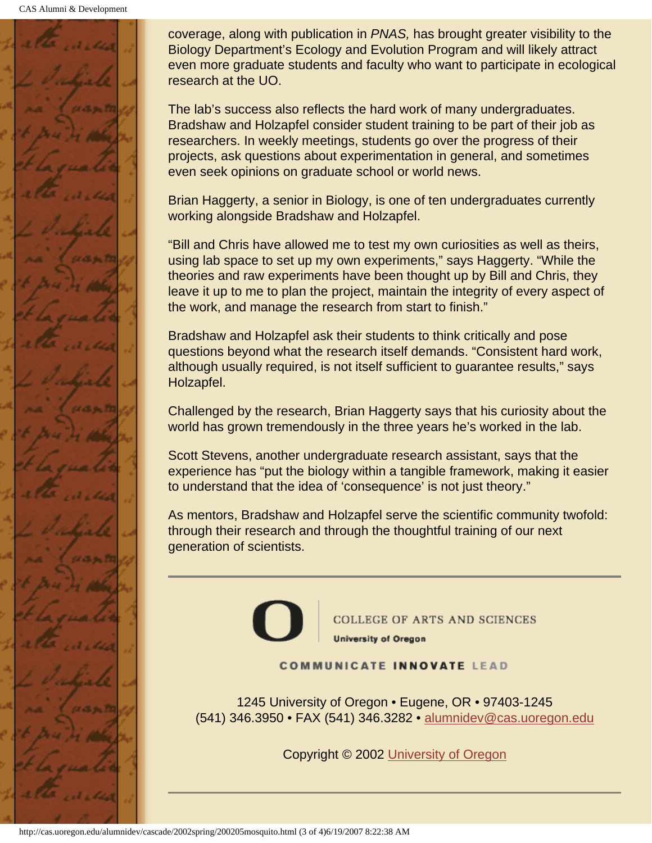

coverage, along with publication in *PNAS,* has brought greater visibility to the Biology Department's Ecology and Evolution Program and will likely attract even more graduate students and faculty who want to participate in ecological research at the UO.

The lab's success also reflects the hard work of many undergraduates. Bradshaw and Holzapfel consider student training to be part of their job as researchers. In weekly meetings, students go over the progress of their projects, ask questions about experimentation in general, and sometimes even seek opinions on graduate school or world news.

Brian Haggerty, a senior in Biology, is one of ten undergraduates currently working alongside Bradshaw and Holzapfel.

"Bill and Chris have allowed me to test my own curiosities as well as theirs, using lab space to set up my own experiments," says Haggerty. "While the theories and raw experiments have been thought up by Bill and Chris, they leave it up to me to plan the project, maintain the integrity of every aspect of the work, and manage the research from start to finish."

Bradshaw and Holzapfel ask their students to think critically and pose questions beyond what the research itself demands. "Consistent hard work, although usually required, is not itself sufficient to guarantee results," says Holzapfel.

Challenged by the research, Brian Haggerty says that his curiosity about the world has grown tremendously in the three years he's worked in the lab.

Scott Stevens, another undergraduate research assistant, says that the experience has "put the biology within a tangible framework, making it easier to understand that the idea of 'consequence' is not just theory."

As mentors, Bradshaw and Holzapfel serve the scientific community twofold: through their research and through the thoughtful training of our next generation of scientists.



**COLLEGE OF ARTS AND SCIENCES University of Oregon** 

**COMMUNICATE INNOVATE LEAD** 

1245 University of Oregon • Eugene, OR • 97403-1245 (541) 346.3950 • FAX (541) 346.3282 • alumnidev@cas.uoregon.edu

Copyright © 2002 University of Oregon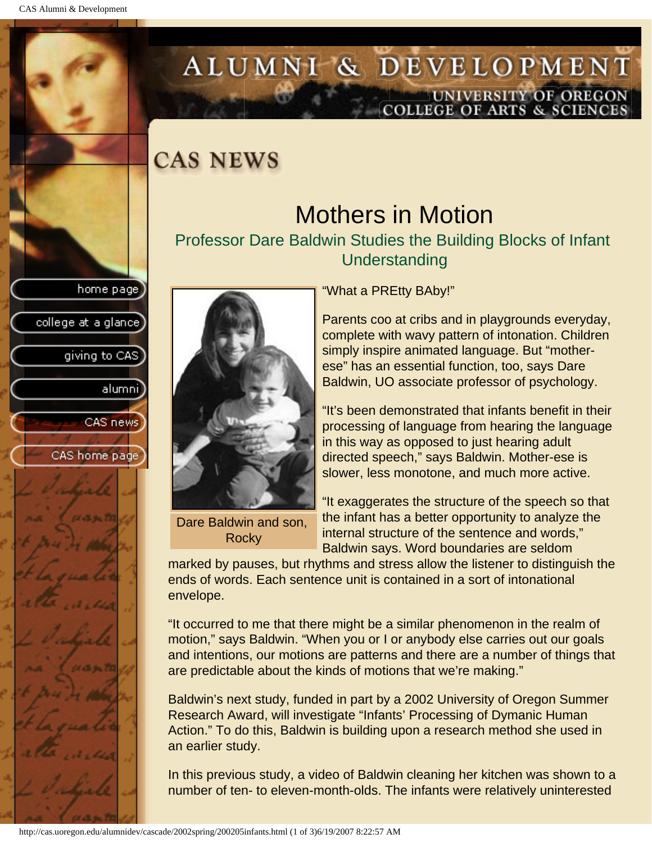college at a glance]

giving to CAS

alumnil

CAS news

CAS home page

## <span id="page-41-0"></span>ALUMNI & DEVELOPMENT UNIVERSITY OF OREGON<br>COLLEGE OF ARTS & SCIENCES

### **CAS NEWS**

## Mothers in Motion

Professor Dare Baldwin Studies the Building Blocks of Infant Understanding



Dare Baldwin and son, **Rocky** 

"What a PREtty BAby!"

Parents coo at cribs and in playgrounds everyday, complete with wavy pattern of intonation. Children simply inspire animated language. But "motherese" has an essential function, too, says Dare Baldwin, UO associate professor of psychology.

"It's been demonstrated that infants benefit in their processing of language from hearing the language in this way as opposed to just hearing adult directed speech," says Baldwin. Mother-ese is slower, less monotone, and much more active.

"It exaggerates the structure of the speech so that the infant has a better opportunity to analyze the internal structure of the sentence and words," Baldwin says. Word boundaries are seldom

marked by pauses, but rhythms and stress allow the listener to distinguish the ends of words. Each sentence unit is contained in a sort of intonational envelope.

"It occurred to me that there might be a similar phenomenon in the realm of motion," says Baldwin. "When you or I or anybody else carries out our goals and intentions, our motions are patterns and there are a number of things that are predictable about the kinds of motions that we're making."

Baldwin's next study, funded in part by a 2002 University of Oregon Summer Research Award, will investigate "Infants' Processing of Dymanic Human Action." To do this, Baldwin is building upon a research method she used in an earlier study.

In this previous study, a video of Baldwin cleaning her kitchen was shown to a number of ten- to eleven-month-olds. The infants were relatively uninterested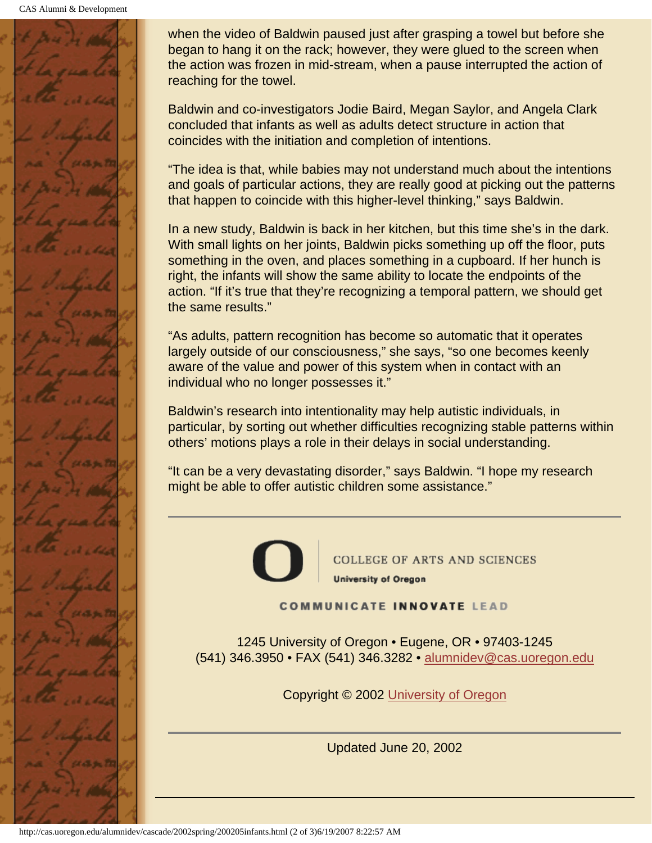CAS Alumni & Development



when the video of Baldwin paused just after grasping a towel but before she began to hang it on the rack; however, they were glued to the screen when the action was frozen in mid-stream, when a pause interrupted the action of reaching for the towel.

Baldwin and co-investigators Jodie Baird, Megan Saylor, and Angela Clark concluded that infants as well as adults detect structure in action that coincides with the initiation and completion of intentions.

"The idea is that, while babies may not understand much about the intentions and goals of particular actions, they are really good at picking out the patterns that happen to coincide with this higher-level thinking," says Baldwin.

In a new study, Baldwin is back in her kitchen, but this time she's in the dark. With small lights on her joints, Baldwin picks something up off the floor, puts something in the oven, and places something in a cupboard. If her hunch is right, the infants will show the same ability to locate the endpoints of the action. "If it's true that they're recognizing a temporal pattern, we should get the same results."

"As adults, pattern recognition has become so automatic that it operates largely outside of our consciousness," she says, "so one becomes keenly aware of the value and power of this system when in contact with an individual who no longer possesses it."

Baldwin's research into intentionality may help autistic individuals, in particular, by sorting out whether difficulties recognizing stable patterns within others' motions plays a role in their delays in social understanding.

"It can be a very devastating disorder," says Baldwin. "I hope my research might be able to offer autistic children some assistance."



**COLLEGE OF ARTS AND SCIENCES University of Oregon** 

**COMMUNICATE INNOVATE LEAD** 

1245 University of Oregon • Eugene, OR • 97403-1245 (541) 346.3950 • FAX (541) 346.3282 • alumnidev@cas.uoregon.edu

Copyright © 2002 University of Oregon

Updated June 20, 2002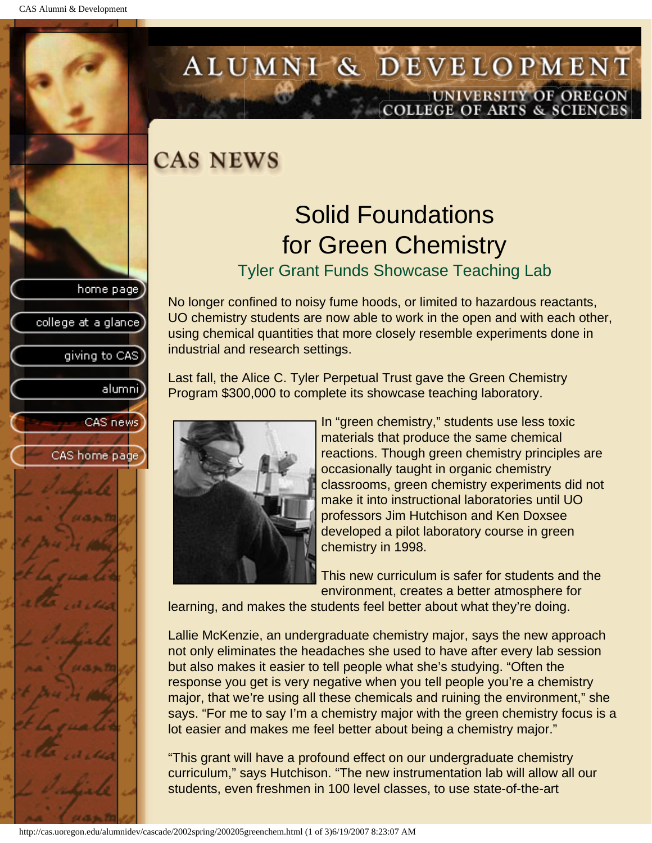college at a glance

giving to CAS

alumni

CAS news

CAS home page

# <span id="page-43-0"></span>ALUMNI & DEVELOPMENT UNIVERSITY OF OREGON<br>COLLEGE OF ARTS & SCIENCES

### **CAS NEWS**

## Solid Foundations for Green Chemistry

Tyler Grant Funds Showcase Teaching Lab

No longer confined to noisy fume hoods, or limited to hazardous reactants, UO chemistry students are now able to work in the open and with each other, using chemical quantities that more closely resemble experiments done in industrial and research settings.

Last fall, the Alice C. Tyler Perpetual Trust gave the Green Chemistry Program \$300,000 to complete its showcase teaching laboratory.



In "green chemistry," students use less toxic materials that produce the same chemical reactions. Though green chemistry principles are occasionally taught in organic chemistry classrooms, green chemistry experiments did not make it into instructional laboratories until UO professors Jim Hutchison and Ken Doxsee developed a pilot laboratory course in green chemistry in 1998.

This new curriculum is safer for students and the environment, creates a better atmosphere for

learning, and makes the students feel better about what they're doing.

Lallie McKenzie, an undergraduate chemistry major, says the new approach not only eliminates the headaches she used to have after every lab session but also makes it easier to tell people what she's studying. "Often the response you get is very negative when you tell people you're a chemistry major, that we're using all these chemicals and ruining the environment," she says. "For me to say I'm a chemistry major with the green chemistry focus is a lot easier and makes me feel better about being a chemistry major."

"This grant will have a profound effect on our undergraduate chemistry curriculum," says Hutchison. "The new instrumentation lab will allow all our students, even freshmen in 100 level classes, to use state-of-the-art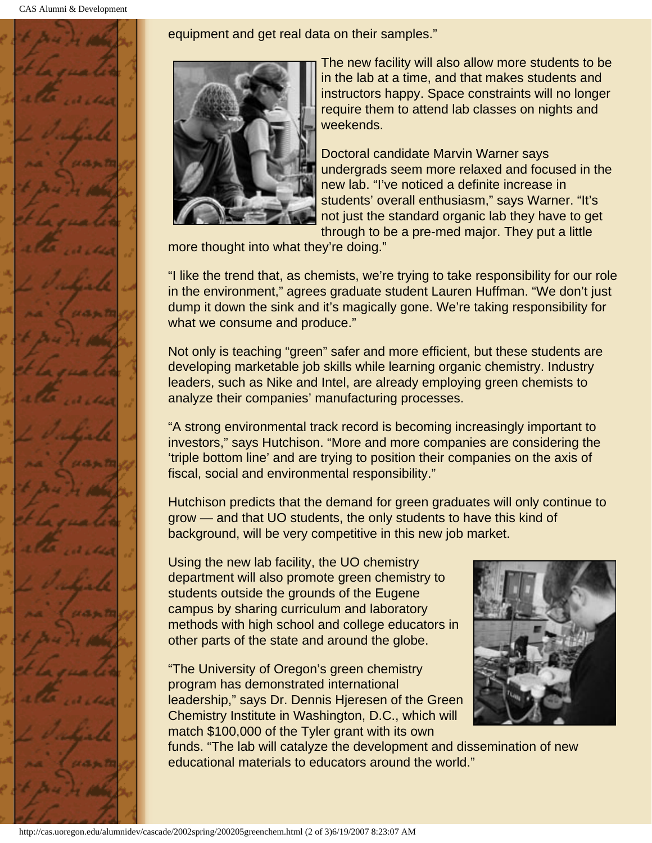

equipment and get real data on their samples."



The new facility will also allow more students to be in the lab at a time, and that makes students and instructors happy. Space constraints will no longer require them to attend lab classes on nights and weekends.

Doctoral candidate Marvin Warner says undergrads seem more relaxed and focused in the new lab. "I've noticed a definite increase in students' overall enthusiasm," says Warner. "It's not just the standard organic lab they have to get through to be a pre-med major. They put a little

more thought into what they're doing."

"I like the trend that, as chemists, we're trying to take responsibility for our role in the environment," agrees graduate student Lauren Huffman. "We don't just dump it down the sink and it's magically gone. We're taking responsibility for what we consume and produce."

Not only is teaching "green" safer and more efficient, but these students are developing marketable job skills while learning organic chemistry. Industry leaders, such as Nike and Intel, are already employing green chemists to analyze their companies' manufacturing processes.

"A strong environmental track record is becoming increasingly important to investors," says Hutchison. "More and more companies are considering the 'triple bottom line' and are trying to position their companies on the axis of fiscal, social and environmental responsibility."

Hutchison predicts that the demand for green graduates will only continue to grow — and that UO students, the only students to have this kind of background, will be very competitive in this new job market.

Using the new lab facility, the UO chemistry department will also promote green chemistry to students outside the grounds of the Eugene campus by sharing curriculum and laboratory methods with high school and college educators in other parts of the state and around the globe.

"The University of Oregon's green chemistry program has demonstrated international leadership," says Dr. Dennis Hjeresen of the Green Chemistry Institute in Washington, D.C., which will match \$100,000 of the Tyler grant with its own



funds. "The lab will catalyze the development and dissemination of new educational materials to educators around the world."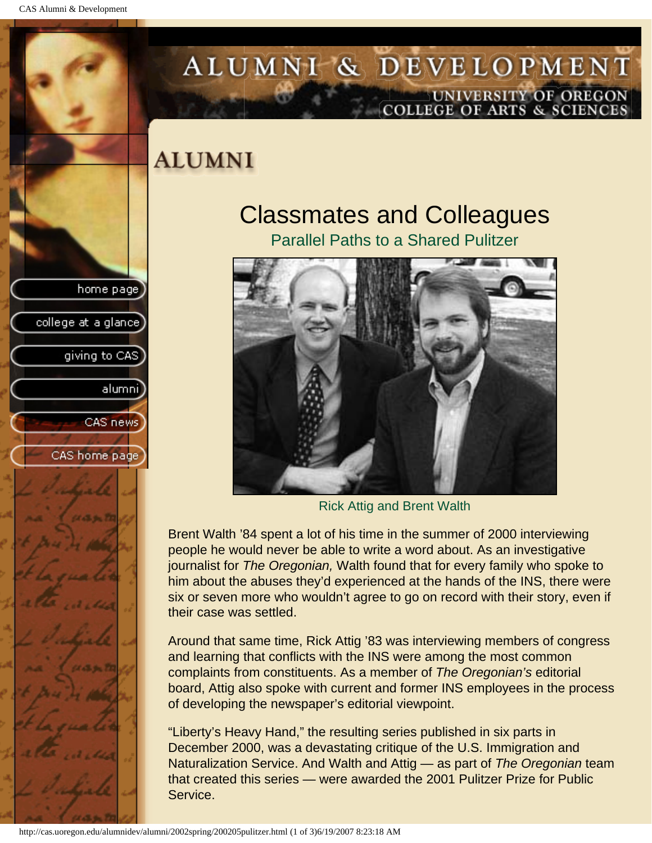college at a glance

giving to CAS

alumni

CAS news

CAS home page

## <span id="page-45-0"></span>ALUMNI & DEVELOPMENT UNIVERSITY OF OREGON<br>COLLEGE OF ARTS & SCIENCES

## **ALUMNI**

### Classmates and Colleagues Parallel Paths to a Shared Pulitzer



Rick Attig and Brent Walth

Brent Walth '84 spent a lot of his time in the summer of 2000 interviewing people he would never be able to write a word about. As an investigative journalist for *The Oregonian,* Walth found that for every family who spoke to him about the abuses they'd experienced at the hands of the INS, there were six or seven more who wouldn't agree to go on record with their story, even if their case was settled.

Around that same time, Rick Attig '83 was interviewing members of congress and learning that conflicts with the INS were among the most common complaints from constituents. As a member of *The Oregonian's* editorial board, Attig also spoke with current and former INS employees in the process of developing the newspaper's editorial viewpoint.

"Liberty's Heavy Hand," the resulting series published in six parts in December 2000, was a devastating critique of the U.S. Immigration and Naturalization Service. And Walth and Attig — as part of *The Oregonian* team that created this series — were awarded the 2001 Pulitzer Prize for Public Service.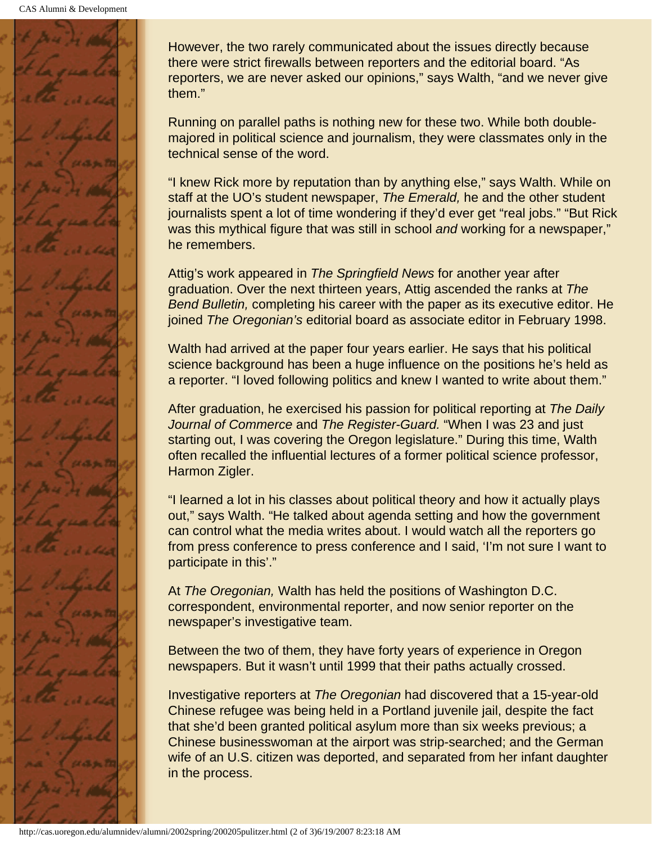

However, the two rarely communicated about the issues directly because there were strict firewalls between reporters and the editorial board. "As reporters, we are never asked our opinions," says Walth, "and we never give them."

Running on parallel paths is nothing new for these two. While both doublemajored in political science and journalism, they were classmates only in the technical sense of the word.

"I knew Rick more by reputation than by anything else," says Walth. While on staff at the UO's student newspaper, *The Emerald,* he and the other student journalists spent a lot of time wondering if they'd ever get "real jobs." "But Rick was this mythical figure that was still in school *and* working for a newspaper," he remembers.

Attig's work appeared in *The Springfield News* for another year after graduation. Over the next thirteen years, Attig ascended the ranks at *The Bend Bulletin,* completing his career with the paper as its executive editor. He joined *The Oregonian's* editorial board as associate editor in February 1998.

Walth had arrived at the paper four years earlier. He says that his political science background has been a huge influence on the positions he's held as a reporter. "I loved following politics and knew I wanted to write about them."

After graduation, he exercised his passion for political reporting at *The Daily Journal of Commerce* and *The Register-Guard.* "When I was 23 and just starting out, I was covering the Oregon legislature." During this time, Walth often recalled the influential lectures of a former political science professor, Harmon Zigler.

"I learned a lot in his classes about political theory and how it actually plays out," says Walth. "He talked about agenda setting and how the government can control what the media writes about. I would watch all the reporters go from press conference to press conference and I said, 'I'm not sure I want to participate in this'."

At *The Oregonian,* Walth has held the positions of Washington D.C. correspondent, environmental reporter, and now senior reporter on the newspaper's investigative team.

Between the two of them, they have forty years of experience in Oregon newspapers. But it wasn't until 1999 that their paths actually crossed.

Investigative reporters at *The Oregonian* had discovered that a 15-year-old Chinese refugee was being held in a Portland juvenile jail, despite the fact that she'd been granted political asylum more than six weeks previous; a Chinese businesswoman at the airport was strip-searched; and the German wife of an U.S. citizen was deported, and separated from her infant daughter in the process.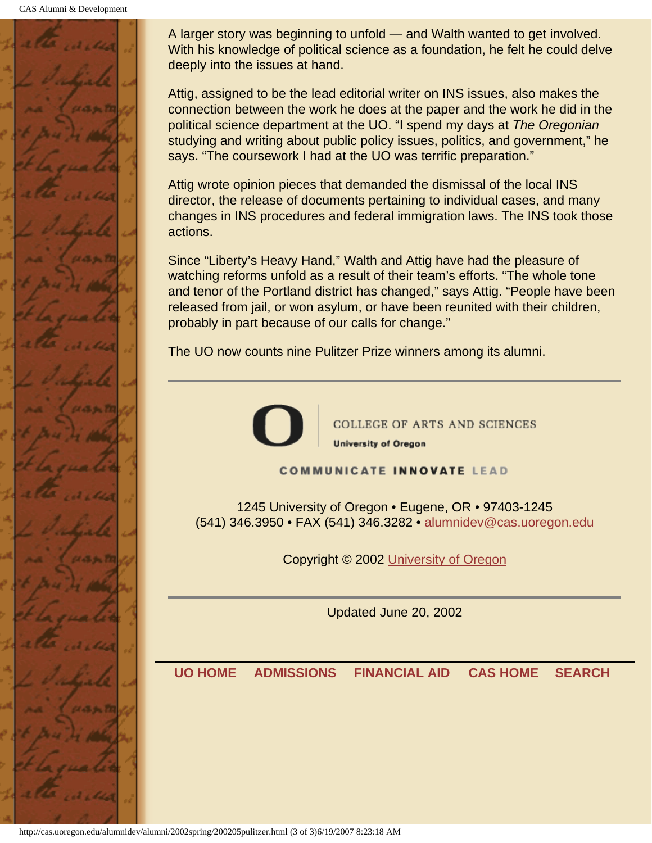CAS Alumni & Development



A larger story was beginning to unfold — and Walth wanted to get involved. With his knowledge of political science as a foundation, he felt he could delve deeply into the issues at hand.

Attig, assigned to be the lead editorial writer on INS issues, also makes the connection between the work he does at the paper and the work he did in the political science department at the UO. "I spend my days at *The Oregonian* studying and writing about public policy issues, politics, and government," he says. "The coursework I had at the UO was terrific preparation."

Attig wrote opinion pieces that demanded the dismissal of the local INS director, the release of documents pertaining to individual cases, and many changes in INS procedures and federal immigration laws. The INS took those actions.

Since "Liberty's Heavy Hand," Walth and Attig have had the pleasure of watching reforms unfold as a result of their team's efforts. "The whole tone and tenor of the Portland district has changed," says Attig. "People have been released from jail, or won asylum, or have been reunited with their children, probably in part because of our calls for change."

The UO now counts nine Pulitzer Prize winners among its alumni.



**COLLEGE OF ARTS AND SCIENCES University of Oregon** 

**COMMUNICATE INNOVATE LEAD** 

1245 University of Oregon • Eugene, OR • 97403-1245 (541) 346.3950 • FAX (541) 346.3282 • alumnidev@cas.uoregon.edu

Copyright © 2002 University of Oregon

Updated June 20, 2002

 **UO HOME ADMISSIONS FINANCIAL AID CAS HOME SEARCH**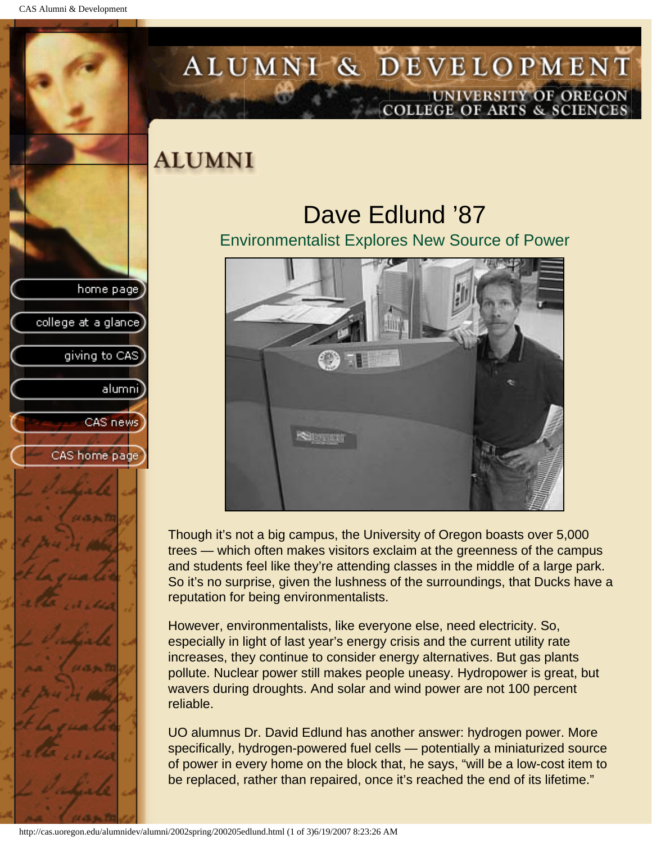college at a glance

giving to CAS

alumni

CAS news

CAS home page

# <span id="page-48-0"></span>ALUMNI & DEVELOPMENT UNIVERSITY OF OREGON<br>COLLEGE OF ARTS & SCIENCES

## **ALUMNI**

## Dave Edlund '87

Environmentalist Explores New Source of Power



Though it's not a big campus, the University of Oregon boasts over 5,000 trees — which often makes visitors exclaim at the greenness of the campus and students feel like they're attending classes in the middle of a large park. So it's no surprise, given the lushness of the surroundings, that Ducks have a reputation for being environmentalists.

However, environmentalists, like everyone else, need electricity. So, especially in light of last year's energy crisis and the current utility rate increases, they continue to consider energy alternatives. But gas plants pollute. Nuclear power still makes people uneasy. Hydropower is great, but wavers during droughts. And solar and wind power are not 100 percent reliable.

UO alumnus Dr. David Edlund has another answer: hydrogen power. More specifically, hydrogen-powered fuel cells — potentially a miniaturized source of power in every home on the block that, he says, "will be a low-cost item to be replaced, rather than repaired, once it's reached the end of its lifetime."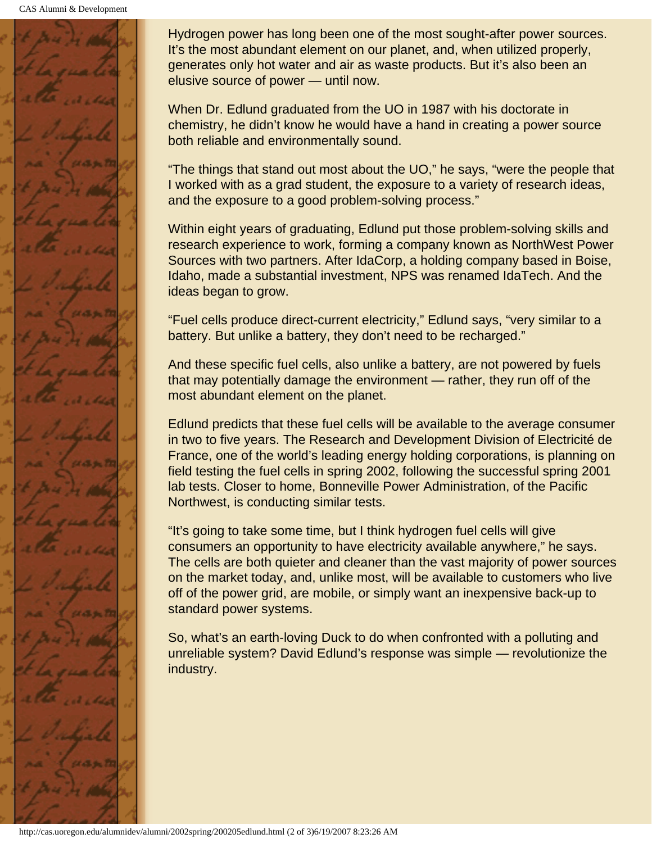CAS Alumni & Development



Hydrogen power has long been one of the most sought-after power sources. It's the most abundant element on our planet, and, when utilized properly, generates only hot water and air as waste products. But it's also been an elusive source of power — until now.

When Dr. Edlund graduated from the UO in 1987 with his doctorate in chemistry, he didn't know he would have a hand in creating a power source both reliable and environmentally sound.

"The things that stand out most about the UO," he says, "were the people that I worked with as a grad student, the exposure to a variety of research ideas, and the exposure to a good problem-solving process."

Within eight years of graduating, Edlund put those problem-solving skills and research experience to work, forming a company known as NorthWest Power Sources with two partners. After IdaCorp, a holding company based in Boise, Idaho, made a substantial investment, NPS was renamed IdaTech. And the ideas began to grow.

"Fuel cells produce direct-current electricity," Edlund says, "very similar to a battery. But unlike a battery, they don't need to be recharged."

And these specific fuel cells, also unlike a battery, are not powered by fuels that may potentially damage the environment — rather, they run off of the most abundant element on the planet.

Edlund predicts that these fuel cells will be available to the average consumer in two to five years. The Research and Development Division of Electricité de France, one of the world's leading energy holding corporations, is planning on field testing the fuel cells in spring 2002, following the successful spring 2001 lab tests. Closer to home, Bonneville Power Administration, of the Pacific Northwest, is conducting similar tests.

"It's going to take some time, but I think hydrogen fuel cells will give consumers an opportunity to have electricity available anywhere," he says. The cells are both quieter and cleaner than the vast majority of power sources on the market today, and, unlike most, will be available to customers who live off of the power grid, are mobile, or simply want an inexpensive back-up to standard power systems.

So, what's an earth-loving Duck to do when confronted with a polluting and unreliable system? David Edlund's response was simple — revolutionize the industry.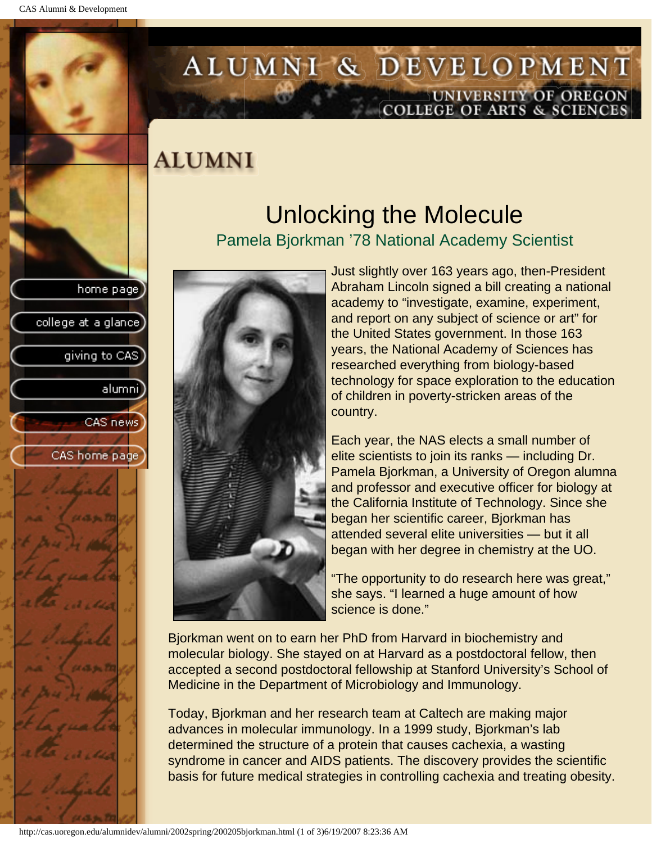college at a glance]

giving to CAS

alumnil

CAS news

CAS home page

## <span id="page-50-0"></span>ALUMNI & DEVELOPMENT UNIVERSITY OF OREGON<br>COLLEGE OF ARTS & SCIENCES

### **ALUMNI**

### Unlocking the Molecule Pamela Bjorkman '78 National Academy Scientist



Just slightly over 163 years ago, then-President Abraham Lincoln signed a bill creating a national academy to "investigate, examine, experiment, and report on any subject of science or art" for the United States government. In those 163 years, the National Academy of Sciences has researched everything from biology-based technology for space exploration to the education of children in poverty-stricken areas of the country.

Each year, the NAS elects a small number of elite scientists to join its ranks — including Dr. Pamela Bjorkman, a University of Oregon alumna and professor and executive officer for biology at the California Institute of Technology. Since she began her scientific career, Bjorkman has attended several elite universities — but it all began with her degree in chemistry at the UO.

"The opportunity to do research here was great," she says. "I learned a huge amount of how science is done."

Bjorkman went on to earn her PhD from Harvard in biochemistry and molecular biology. She stayed on at Harvard as a postdoctoral fellow, then accepted a second postdoctoral fellowship at Stanford University's School of Medicine in the Department of Microbiology and Immunology.

Today, Bjorkman and her research team at Caltech are making major advances in molecular immunology. In a 1999 study, Bjorkman's lab determined the structure of a protein that causes cachexia, a wasting syndrome in cancer and AIDS patients. The discovery provides the scientific basis for future medical strategies in controlling cachexia and treating obesity.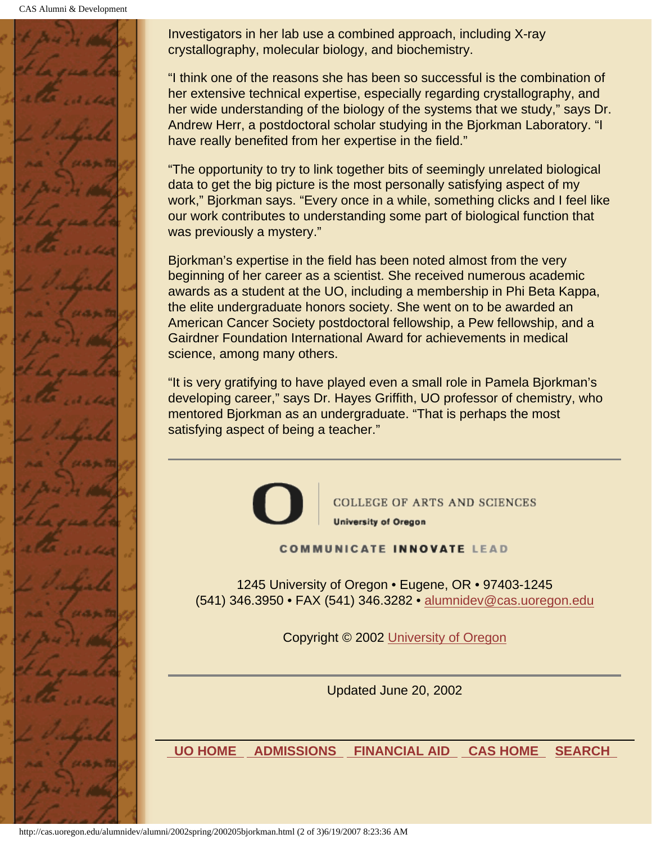CAS Alumni & Development



Investigators in her lab use a combined approach, including X-ray crystallography, molecular biology, and biochemistry.

"I think one of the reasons she has been so successful is the combination of her extensive technical expertise, especially regarding crystallography, and her wide understanding of the biology of the systems that we study," says Dr. Andrew Herr, a postdoctoral scholar studying in the Bjorkman Laboratory. "I have really benefited from her expertise in the field."

"The opportunity to try to link together bits of seemingly unrelated biological data to get the big picture is the most personally satisfying aspect of my work," Bjorkman says. "Every once in a while, something clicks and I feel like our work contributes to understanding some part of biological function that was previously a mystery."

Bjorkman's expertise in the field has been noted almost from the very beginning of her career as a scientist. She received numerous academic awards as a student at the UO, including a membership in Phi Beta Kappa, the elite undergraduate honors society. She went on to be awarded an American Cancer Society postdoctoral fellowship, a Pew fellowship, and a Gairdner Foundation International Award for achievements in medical science, among many others.

"It is very gratifying to have played even a small role in Pamela Bjorkman's developing career," says Dr. Hayes Griffith, UO professor of chemistry, who mentored Bjorkman as an undergraduate. "That is perhaps the most satisfying aspect of being a teacher."



COLLEGE OF ARTS AND SCIENCES **University of Oregon** 

#### **COMMUNICATE INNOVATE LEAD**

1245 University of Oregon • Eugene, OR • 97403-1245 (541) 346.3950 • FAX (541) 346.3282 • alumnidev@cas.uoregon.edu

Copyright © 2002 University of Oregon

Updated June 20, 2002

 **UO HOME ADMISSIONS FINANCIAL AID CAS HOME SEARCH**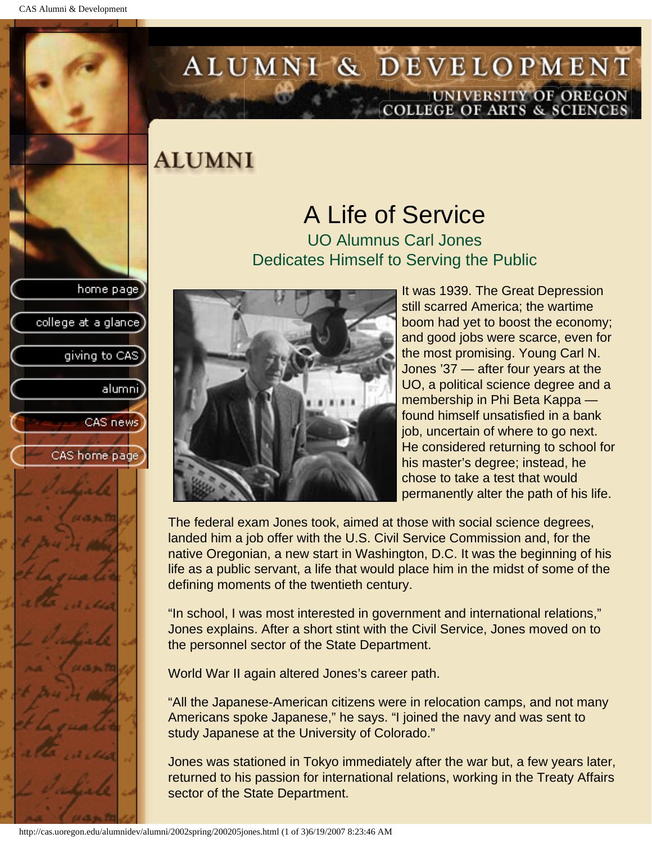college at a glance]

giving to CAS

alumnil

CAS news

CAS home page

## <span id="page-52-0"></span>ALUMNI & DEVELOPMENT UNIVERSITY OF OREGON<br>COLLEGE OF ARTS & SCIENCES

### **ALUMNI**

### A Life of Service UO Alumnus Carl Jones Dedicates Himself to Serving the Public



It was 1939. The Great Depression still scarred America; the wartime boom had yet to boost the economy; and good jobs were scarce, even for the most promising. Young Carl N. Jones '37 — after four years at the UO, a political science degree and a membership in Phi Beta Kappa found himself unsatisfied in a bank job, uncertain of where to go next. He considered returning to school for his master's degree; instead, he chose to take a test that would permanently alter the path of his life.

The federal exam Jones took, aimed at those with social science degrees, landed him a job offer with the U.S. Civil Service Commission and, for the native Oregonian, a new start in Washington, D.C. It was the beginning of his life as a public servant, a life that would place him in the midst of some of the defining moments of the twentieth century.

"In school, I was most interested in government and international relations," Jones explains. After a short stint with the Civil Service, Jones moved on to the personnel sector of the State Department.

World War II again altered Jones's career path.

"All the Japanese-American citizens were in relocation camps, and not many Americans spoke Japanese," he says. "I joined the navy and was sent to study Japanese at the University of Colorado."

Jones was stationed in Tokyo immediately after the war but, a few years later, returned to his passion for international relations, working in the Treaty Affairs sector of the State Department.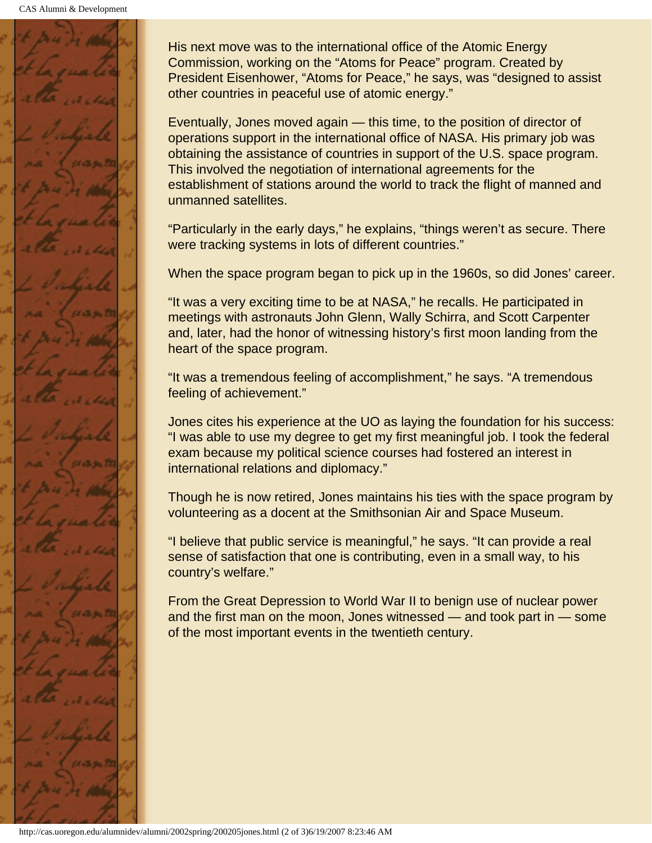

His next move was to the international office of the Atomic Energy Commission, working on the "Atoms for Peace" program. Created by President Eisenhower, "Atoms for Peace," he says, was "designed to assist other countries in peaceful use of atomic energy."

Eventually, Jones moved again — this time, to the position of director of operations support in the international office of NASA. His primary job was obtaining the assistance of countries in support of the U.S. space program. This involved the negotiation of international agreements for the establishment of stations around the world to track the flight of manned and unmanned satellites.

"Particularly in the early days," he explains, "things weren't as secure. There were tracking systems in lots of different countries."

When the space program began to pick up in the 1960s, so did Jones' career.

"It was a very exciting time to be at NASA," he recalls. He participated in meetings with astronauts John Glenn, Wally Schirra, and Scott Carpenter and, later, had the honor of witnessing history's first moon landing from the heart of the space program.

"It was a tremendous feeling of accomplishment," he says. "A tremendous feeling of achievement."

Jones cites his experience at the UO as laying the foundation for his success: "I was able to use my degree to get my first meaningful job. I took the federal exam because my political science courses had fostered an interest in international relations and diplomacy."

Though he is now retired, Jones maintains his ties with the space program by volunteering as a docent at the Smithsonian Air and Space Museum.

"I believe that public service is meaningful," he says. "It can provide a real sense of satisfaction that one is contributing, even in a small way, to his country's welfare."

From the Great Depression to World War II to benign use of nuclear power and the first man on the moon, Jones witnessed — and took part in — some of the most important events in the twentieth century.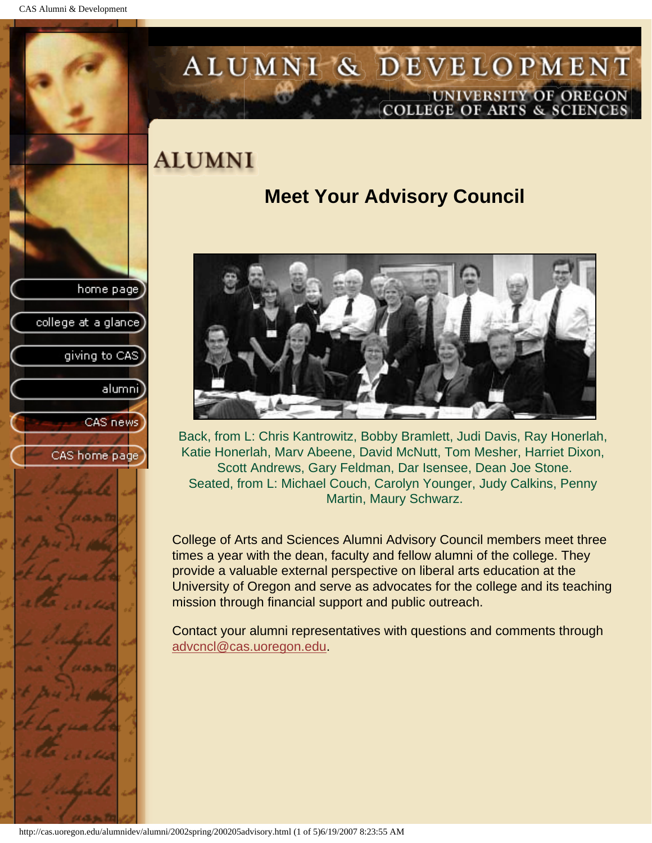<span id="page-54-0"></span>CAS Alumni & Development

home page

college at a glance

giving to CAS

alumni

CAS news

CAS home page

# ALUMNI & DEVELOPMENT UNIVERSITY OF OREGON<br>COLLEGE OF ARTS & SCIENCES

## **ALUMNI**

### **Meet Your Advisory Council**



Back, from L: Chris Kantrowitz, Bobby Bramlett, Judi Davis, Ray Honerlah, Katie Honerlah, Marv Abeene, David McNutt, Tom Mesher, Harriet Dixon, Scott Andrews, Gary Feldman, Dar Isensee, Dean Joe Stone. Seated, from L: Michael Couch, Carolyn Younger, Judy Calkins, Penny Martin, Maury Schwarz.

College of Arts and Sciences Alumni Advisory Council members meet three times a year with the dean, faculty and fellow alumni of the college. They provide a valuable external perspective on liberal arts education at the University of Oregon and serve as advocates for the college and its teaching mission through financial support and public outreach.

Contact your alumni representatives with questions and comments through advcncl@cas.uoregon.edu.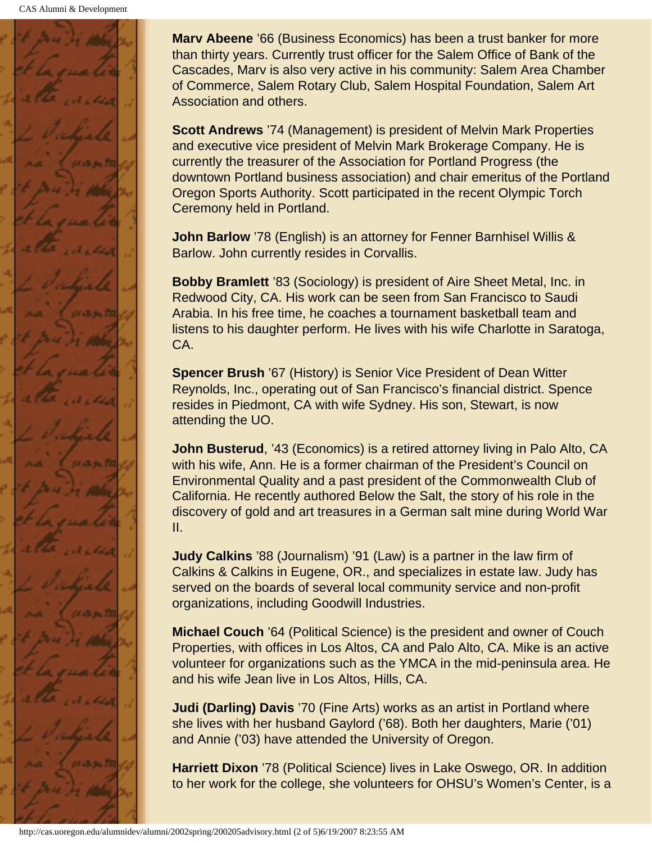

**Marv Abeene** '66 (Business Economics) has been a trust banker for more than thirty years. Currently trust officer for the Salem Office of Bank of the Cascades, Marv is also very active in his community: Salem Area Chamber of Commerce, Salem Rotary Club, Salem Hospital Foundation, Salem Art Association and others.

**Scott Andrews** '74 (Management) is president of Melvin Mark Properties and executive vice president of Melvin Mark Brokerage Company. He is currently the treasurer of the Association for Portland Progress (the downtown Portland business association) and chair emeritus of the Portland Oregon Sports Authority. Scott participated in the recent Olympic Torch Ceremony held in Portland.

**John Barlow** '78 (English) is an attorney for Fenner Barnhisel Willis & Barlow. John currently resides in Corvallis.

**Bobby Bramlett** '83 (Sociology) is president of Aire Sheet Metal, Inc. in Redwood City, CA. His work can be seen from San Francisco to Saudi Arabia. In his free time, he coaches a tournament basketball team and listens to his daughter perform. He lives with his wife Charlotte in Saratoga, CA.

**Spencer Brush** '67 (History) is Senior Vice President of Dean Witter Reynolds, Inc., operating out of San Francisco's financial district. Spence resides in Piedmont, CA with wife Sydney. His son, Stewart, is now attending the UO.

**John Busterud, '43 (Economics) is a retired attorney living in Palo Alto, CA** with his wife, Ann. He is a former chairman of the President's Council on Environmental Quality and a past president of the Commonwealth Club of California. He recently authored Below the Salt, the story of his role in the discovery of gold and art treasures in a German salt mine during World War II.

**Judy Calkins** '88 (Journalism) '91 (Law) is a partner in the law firm of Calkins & Calkins in Eugene, OR., and specializes in estate law. Judy has served on the boards of several local community service and non-profit organizations, including Goodwill Industries.

**Michael Couch** '64 (Political Science) is the president and owner of Couch Properties, with offices in Los Altos, CA and Palo Alto, CA. Mike is an active volunteer for organizations such as the YMCA in the mid-peninsula area. He and his wife Jean live in Los Altos, Hills, CA.

**Judi (Darling) Davis** '70 (Fine Arts) works as an artist in Portland where she lives with her husband Gaylord ('68). Both her daughters, Marie ('01) and Annie ('03) have attended the University of Oregon.

**Harriett Dixon** '78 (Political Science) lives in Lake Oswego, OR. In addition to her work for the college, she volunteers for OHSU's Women's Center, is a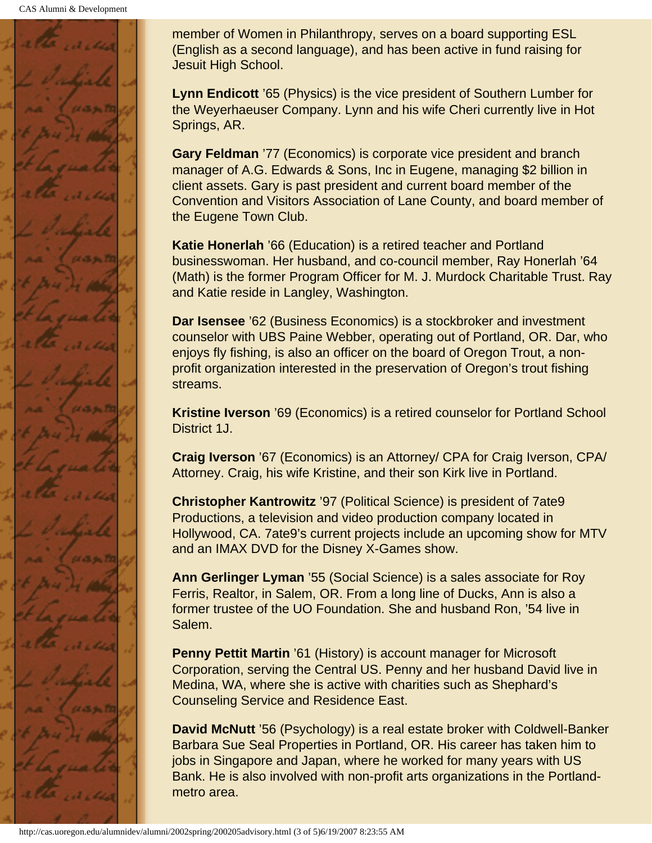

member of Women in Philanthropy, serves on a board supporting ESL (English as a second language), and has been active in fund raising for Jesuit High School.

**Lynn Endicott** '65 (Physics) is the vice president of Southern Lumber for the Weyerhaeuser Company. Lynn and his wife Cheri currently live in Hot Springs, AR.

**Gary Feldman** '77 (Economics) is corporate vice president and branch manager of A.G. Edwards & Sons, Inc in Eugene, managing \$2 billion in client assets. Gary is past president and current board member of the Convention and Visitors Association of Lane County, and board member of the Eugene Town Club.

**Katie Honerlah** '66 (Education) is a retired teacher and Portland businesswoman. Her husband, and co-council member, Ray Honerlah '64 (Math) is the former Program Officer for M. J. Murdock Charitable Trust. Ray and Katie reside in Langley, Washington.

**Dar Isensee** '62 (Business Economics) is a stockbroker and investment counselor with UBS Paine Webber, operating out of Portland, OR. Dar, who enjoys fly fishing, is also an officer on the board of Oregon Trout, a nonprofit organization interested in the preservation of Oregon's trout fishing streams.

**Kristine Iverson** '69 (Economics) is a retired counselor for Portland School District 1J.

**Craig Iverson** '67 (Economics) is an Attorney/ CPA for Craig Iverson, CPA/ Attorney. Craig, his wife Kristine, and their son Kirk live in Portland.

**Christopher Kantrowitz** '97 (Political Science) is president of 7ate9 Productions, a television and video production company located in Hollywood, CA. 7ate9's current projects include an upcoming show for MTV and an IMAX DVD for the Disney X-Games show.

**Ann Gerlinger Lyman** '55 (Social Science) is a sales associate for Roy Ferris, Realtor, in Salem, OR. From a long line of Ducks, Ann is also a former trustee of the UO Foundation. She and husband Ron, '54 live in Salem.

**Penny Pettit Martin** '61 (History) is account manager for Microsoft Corporation, serving the Central US. Penny and her husband David live in Medina, WA, where she is active with charities such as Shephard's Counseling Service and Residence East.

**David McNutt** '56 (Psychology) is a real estate broker with Coldwell-Banker Barbara Sue Seal Properties in Portland, OR. His career has taken him to jobs in Singapore and Japan, where he worked for many years with US Bank. He is also involved with non-profit arts organizations in the Portlandmetro area.